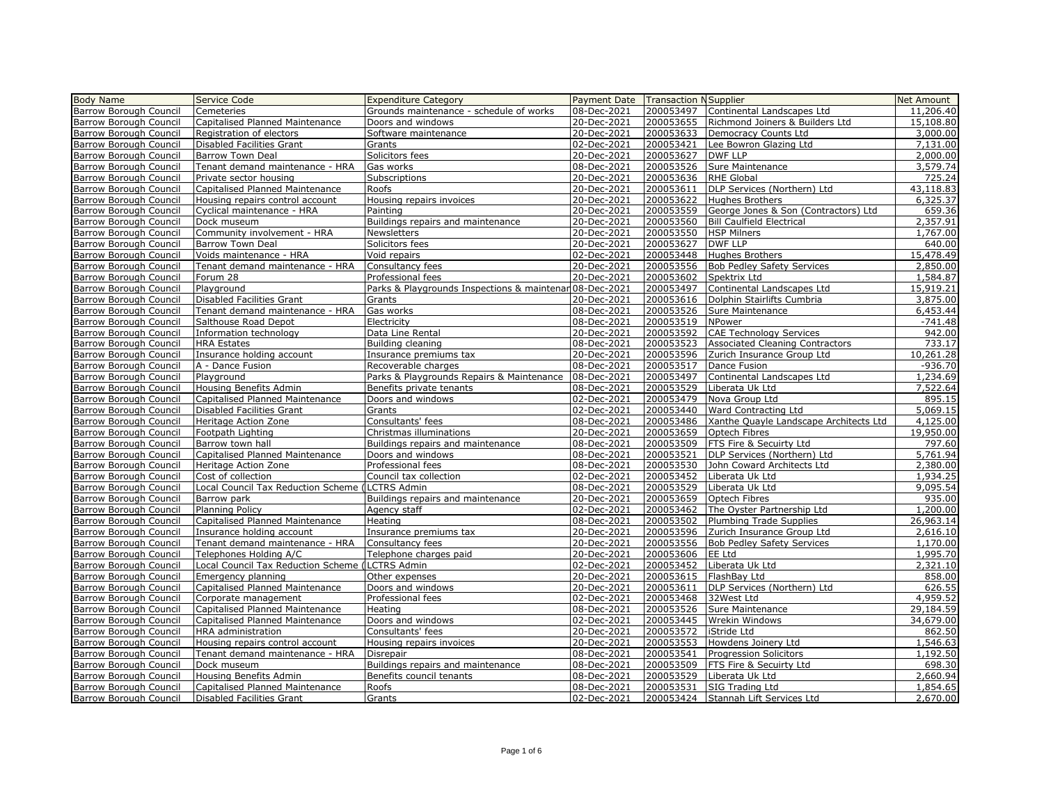| <b>Body Name</b>                                 | Service Code                                    | <b>Expenditure Category</b>                             | <b>Payment Date   Transaction NSupplier</b> |           |                                        | Net Amount          |
|--------------------------------------------------|-------------------------------------------------|---------------------------------------------------------|---------------------------------------------|-----------|----------------------------------------|---------------------|
| <b>Barrow Borough Council</b>                    | Cemeteries                                      | Grounds maintenance - schedule of works                 | 08-Dec-2021                                 | 200053497 | Continental Landscapes Ltd             | 11,206.40           |
| <b>Barrow Borough Council</b>                    | Capitalised Planned Maintenance                 | Doors and windows                                       | 20-Dec-2021                                 | 200053655 | Richmond Joiners & Builders Ltd        | 15,108.80           |
|                                                  | Registration of electors                        | Software maintenance                                    | 20-Dec-2021                                 | 200053633 | <b>Democracy Counts Ltd</b>            | 3,000.00            |
| Barrow Borough Council<br>Barrow Borough Council |                                                 | Grants                                                  | 02-Dec-2021                                 | 200053421 | Lee Bowron Glazing Ltd                 | 7,131.00            |
|                                                  | Disabled Facilities Grant                       |                                                         |                                             |           | <b>DWF LLP</b>                         |                     |
| <b>Barrow Borough Council</b>                    | <b>Barrow Town Deal</b>                         | Solicitors fees                                         | 20-Dec-2021                                 | 200053627 |                                        | 2,000.00            |
| <b>Barrow Borough Council</b>                    | Tenant demand maintenance - HRA                 | Gas works                                               | 08-Dec-2021                                 | 200053526 | Sure Maintenance                       | 3,579.74            |
| Barrow Borough Council                           | Private sector housing                          | Subscriptions                                           | 20-Dec-2021                                 | 200053636 | <b>RHE Global</b>                      | 725.24<br>43,118.83 |
| Barrow Borough Council                           | Capitalised Planned Maintenance                 | Roofs                                                   | 20-Dec-2021                                 | 200053611 | DLP Services (Northern) Ltd            |                     |
| Barrow Borough Council                           | Housing repairs control account                 | Housing repairs invoices                                | 20-Dec-2021                                 | 200053622 | <b>Hughes Brothers</b>                 | 6,325.37            |
| Barrow Borough Council                           | Cyclical maintenance - HRA                      | Painting                                                | 20-Dec-2021                                 | 200053559 | George Jones & Son (Contractors) Ltd   | 659.36              |
| Barrow Borough Council                           | Dock museum                                     | Buildings repairs and maintenance                       | 20-Dec-2021                                 | 200053560 | <b>Bill Caulfield Electrical</b>       | 2,357.91            |
| Barrow Borough Council                           | Community involvement - HRA                     | <b>Newsletters</b>                                      | 20-Dec-2021                                 | 200053550 | <b>HSP Milners</b>                     | 1,767.00            |
| Barrow Borough Council                           | <b>Barrow Town Deal</b>                         | Solicitors fees                                         | 20-Dec-2021                                 | 200053627 | <b>DWF LLP</b>                         | 640.00              |
| Barrow Borough Council                           | Voids maintenance - HRA                         | Void repairs                                            | 02-Dec-2021                                 | 200053448 | <b>Hughes Brothers</b>                 | 15,478.49           |
| <b>Barrow Borough Council</b>                    | Tenant demand maintenance - HRA                 | Consultancy fees                                        | 20-Dec-2021                                 | 200053556 | <b>Bob Pedley Safety Services</b>      | 2,850.00            |
| Barrow Borough Council                           | Forum 28                                        | Professional fees                                       | 20-Dec-2021                                 | 200053602 | Spektrix Ltd                           | 1,584.87            |
| Barrow Borough Council                           | Playground                                      | Parks & Playgrounds Inspections & maintenar 08-Dec-2021 |                                             | 200053497 | Continental Landscapes Ltd             | 15,919.21           |
| Barrow Borough Council                           | Disabled Facilities Grant                       | Grants                                                  | 20-Dec-2021                                 | 200053616 | Dolphin Stairlifts Cumbria             | 3,875.00            |
| Barrow Borough Council                           | Tenant demand maintenance - HRA                 | Gas works                                               | 08-Dec-2021                                 | 200053526 | Sure Maintenance                       | 6,453.44            |
| Barrow Borough Council                           | Salthouse Road Depot                            | Electricity                                             | 08-Dec-2021                                 | 200053519 | NPower                                 | $-741.48$           |
| Barrow Borough Council                           | Information technology                          | Data Line Rental                                        | 20-Dec-2021                                 | 200053592 | <b>CAE Technology Services</b>         | 942.00              |
| Barrow Borough Council                           | <b>HRA Estates</b>                              | Building cleaning                                       | 08-Dec-2021                                 | 200053523 | <b>Associated Cleaning Contractors</b> | 733.17              |
| Barrow Borough Council                           | Insurance holding account                       | Insurance premiums tax                                  | 20-Dec-2021                                 | 200053596 | Zurich Insurance Group Ltd             | 10,261.28           |
| Barrow Borough Council                           | A - Dance Fusion                                | Recoverable charges                                     | 08-Dec-2021                                 | 200053517 | Dance Fusion                           | $-936.70$           |
| Barrow Borough Council                           | Playground                                      | Parks & Playgrounds Repairs & Maintenance               | 08-Dec-2021                                 | 200053497 | Continental Landscapes Ltd             | 1,234.69            |
| Barrow Borough Council                           | Housing Benefits Admin                          | Benefits private tenants                                | 08-Dec-2021                                 | 200053529 | Liberata Uk Ltd                        | 7,522.64            |
| Barrow Borough Council                           | Capitalised Planned Maintenance                 | Doors and windows                                       | 02-Dec-2021                                 | 200053479 | Nova Group Ltd                         | 895.15              |
| Barrow Borough Council                           | Disabled Facilities Grant                       | Grants                                                  | 02-Dec-2021                                 | 200053440 | Ward Contracting Ltd                   | 5,069.15            |
| Barrow Borough Council                           | Heritage Action Zone                            | Consultants' fees                                       | 08-Dec-2021                                 | 200053486 | Xanthe Quayle Landscape Architects Ltd | 4,125.00            |
| Barrow Borough Council                           | Footpath Lighting                               | Christmas illuminations                                 | 20-Dec-2021                                 | 200053659 | Optech Fibres                          | 19,950.00           |
| Barrow Borough Council                           | Barrow town hall                                | Buildings repairs and maintenance                       | 08-Dec-2021                                 | 200053509 | FTS Fire & Secuirty Ltd                | 797.60              |
| Barrow Borough Council                           | Capitalised Planned Maintenance                 | Doors and windows                                       | 08-Dec-2021                                 | 200053521 | DLP Services (Northern) Ltd            | 5,761.94            |
| Barrow Borough Council                           | Heritage Action Zone                            | Professional fees                                       | 08-Dec-2021                                 | 200053530 | John Coward Architects Ltd             | 2,380.00            |
| Barrow Borough Council                           | Cost of collection                              | Council tax collection                                  | 02-Dec-2021                                 | 200053452 | Liberata Uk Ltd                        | 1,934.25            |
| Barrow Borough Council                           | Local Council Tax Reduction Scheme (LCTRS Admin |                                                         | 08-Dec-2021                                 | 200053529 | Liberata Uk Ltd                        | 9,095.54            |
| <b>Barrow Borough Council</b>                    | <b>Barrow</b> park                              | Buildings repairs and maintenance                       | 20-Dec-2021                                 | 200053659 | Optech Fibres                          | 935.00              |
| Barrow Borough Council                           | <b>Planning Policy</b>                          | Agency staff                                            | 02-Dec-2021                                 | 200053462 | The Oyster Partnership Ltd             | 1,200.00            |
| Barrow Borough Council                           | Capitalised Planned Maintenance                 | Heating                                                 | 08-Dec-2021                                 | 200053502 | Plumbing Trade Supplies                | 26,963.14           |
| Barrow Borough Council                           | Insurance holding account                       | Insurance premiums tax                                  | 20-Dec-2021                                 | 200053596 | Zurich Insurance Group Ltd             | 2,616.10            |
| Barrow Borough Council                           | Tenant demand maintenance - HRA                 | Consultancy fees                                        | 20-Dec-2021                                 | 200053556 | <b>Bob Pedley Safety Services</b>      | 1,170.00            |
| Barrow Borough Council                           | Telephones Holding A/C                          | Telephone charges paid                                  | 20-Dec-2021                                 | 200053606 | EE Ltd                                 | 1,995.70            |
| Barrow Borough Council                           | Local Council Tax Reduction Scheme              | LCTRS Admin                                             | 02-Dec-2021                                 | 200053452 | Liberata Uk Ltd                        | 2,321.10            |
| <b>Barrow Borough Council</b>                    | Emergency planning                              | Other expenses                                          | 20-Dec-2021                                 | 200053615 | FlashBay Ltd                           | 858.00              |
| Barrow Borough Council                           | Capitalised Planned Maintenance                 | Doors and windows                                       | 20-Dec-2021                                 | 200053611 | DLP Services (Northern) Ltd            | 626.55              |
| Barrow Borough Council                           | Corporate management                            | Professional fees                                       | 02-Dec-2021                                 | 200053468 | 32West Ltd                             | 4,959.52            |
| Barrow Borough Council                           | Capitalised Planned Maintenance                 | Heating                                                 | 08-Dec-2021                                 | 200053526 | Sure Maintenance                       | 29,184.59           |
| <b>Barrow Borough Council</b>                    | Capitalised Planned Maintenance                 | Doors and windows                                       | 02-Dec-2021                                 | 200053445 | Wrekin Windows                         | 34,679.00           |
| Barrow Borough Council                           | HRA administration                              | Consultants' fees                                       | 20-Dec-2021                                 | 200053572 | iStride Ltd                            | 862.50              |
| Barrow Borough Council                           | Housing repairs control account                 | Housing repairs invoices                                | 20-Dec-2021                                 | 200053553 | Howdens Joinery Ltd                    | 1,546.63            |
| <b>Barrow Borough Council</b>                    | Tenant demand maintenance - HRA                 | Disrepair                                               | 08-Dec-2021                                 | 200053541 | <b>Progression Solicitors</b>          | 1,192.50            |
| Barrow Borough Council                           | Dock museum                                     | Buildings repairs and maintenance                       | 08-Dec-2021                                 | 200053509 | FTS Fire & Secuirty Ltd                | 698.30              |
| <b>Barrow Borough Council</b>                    | Housing Benefits Admin                          | Benefits council tenants                                | 08-Dec-2021                                 | 200053529 | Liberata Uk Ltd                        | 2,660.94            |
| <b>Barrow Borough Council</b>                    | Capitalised Planned Maintenance                 | Roofs                                                   | 08-Dec-2021                                 | 200053531 | SIG Trading Ltd                        | 1,854.65            |
| Barrow Borough Council                           | Disabled Facilities Grant                       | Grants                                                  | 02-Dec-2021                                 |           | 200053424 Stannah Lift Services Ltd    | 2,670.00            |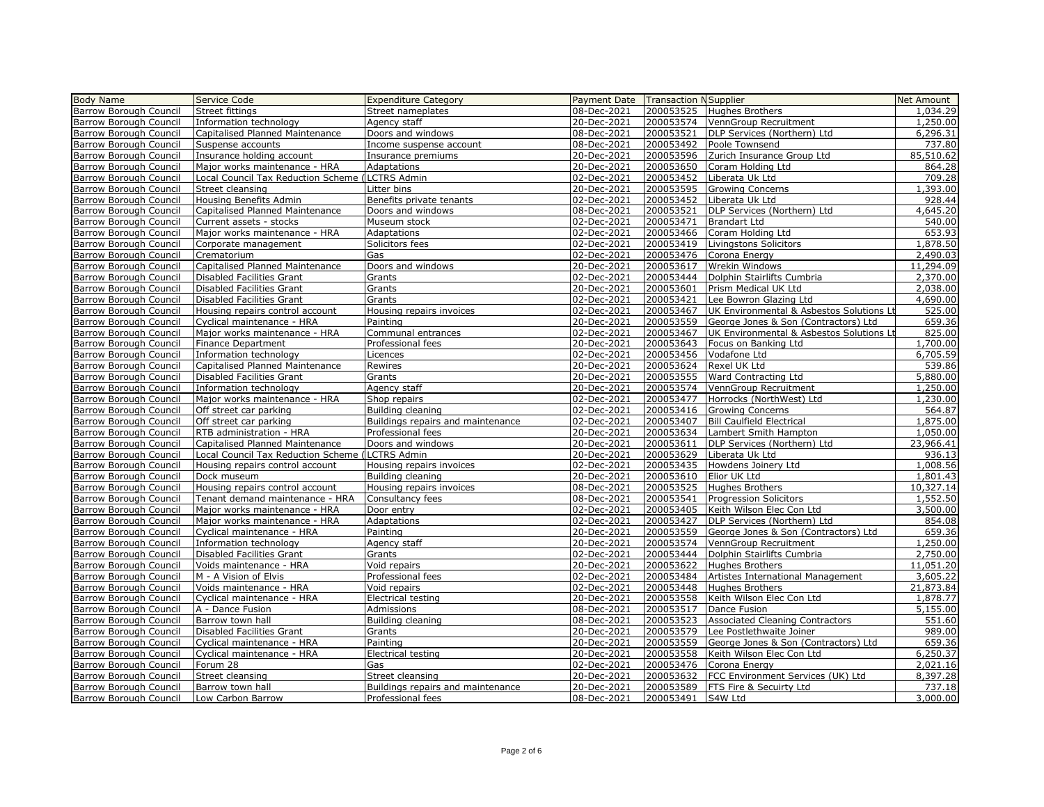| <b>Body Name</b>              | Service Code                               | <b>Expenditure Category</b>       | Payment Date Transaction NSupplier |                   |                                          | Net Amount |
|-------------------------------|--------------------------------------------|-----------------------------------|------------------------------------|-------------------|------------------------------------------|------------|
| <b>Barrow Borough Council</b> | Street fittings                            | Street nameplates                 | 08-Dec-2021                        | 200053525         | <b>Hughes Brothers</b>                   | 1,034.29   |
| Barrow Borough Council        | Information technology                     | Agency staff                      | 20-Dec-2021                        | 200053574         | VennGroup Recruitment                    | 1,250.00   |
| <b>Barrow Borough Council</b> | Capitalised Planned Maintenance            | Doors and windows                 | 08-Dec-2021                        | 200053521         | DLP Services (Northern) Ltd              | 6,296.31   |
| Barrow Borough Council        | Suspense accounts                          | Income suspense account           | 08-Dec-2021                        | 200053492         | Poole Townsend                           | 737.80     |
| Barrow Borough Council        | Insurance holding account                  | Insurance premiums                | 20-Dec-2021                        | 200053596         | Zurich Insurance Group Ltd               | 85,510.62  |
| Barrow Borough Council        | Major works maintenance - HRA              | Adaptations                       | 20-Dec-2021                        | 200053650         | Coram Holding Ltd                        | 864.28     |
| Barrow Borough Council        | Local Council Tax Reduction Scheme         | LCTRS Admin                       | 02-Dec-2021                        | 200053452         | Liberata Uk Ltd                          | 709.28     |
|                               |                                            |                                   | 20-Dec-2021                        | 200053595         | <b>Growing Concerns</b>                  | 1,393.00   |
| Barrow Borough Council        | Street cleansing<br>Housing Benefits Admin | Litter bins                       | 02-Dec-2021                        | 200053452         | Liberata Uk Ltd                          | 928.44     |
| Barrow Borough Council        |                                            | Benefits private tenants          |                                    |                   |                                          |            |
| Barrow Borough Council        | Capitalised Planned Maintenance            | Doors and windows                 | 08-Dec-2021                        | 200053521         | DLP Services (Northern) Ltd              | 4,645.20   |
| Barrow Borough Council        | Current assets - stocks                    | Museum stock                      | 02-Dec-2021                        | 200053471         | <b>Brandart Ltd</b>                      | 540.00     |
| Barrow Borough Council        | Major works maintenance - HRA              | Adaptations                       | 02-Dec-2021                        | 200053466         | Coram Holding Ltd                        | 653.93     |
| Barrow Borough Council        | Corporate management                       | Solicitors fees                   | 02-Dec-2021                        | 200053419         | Livingstons Solicitors                   | 1,878.50   |
| Barrow Borough Council        | Crematorium                                | Gas                               | 02-Dec-2021                        | 200053476         | Corona Energy                            | 2,490.03   |
| <b>Barrow Borough Council</b> | Capitalised Planned Maintenance            | Doors and windows                 | 20-Dec-2021                        | 200053617         | Wrekin Windows                           | 11,294.09  |
| Barrow Borough Council        | Disabled Facilities Grant                  | Grants                            | 02-Dec-2021                        | 200053444         | Dolphin Stairlifts Cumbria               | 2,370.00   |
| Barrow Borough Council        | Disabled Facilities Grant                  | Grants                            | 20-Dec-2021                        | 200053601         | Prism Medical UK Ltd                     | 2,038.00   |
| Barrow Borough Council        | Disabled Facilities Grant                  | Grants                            | 02-Dec-2021                        | 200053421         | Lee Bowron Glazing Ltd                   | 4,690.00   |
| <b>Barrow Borough Council</b> | Housing repairs control account            | Housing repairs invoices          | 02-Dec-2021                        | 200053467         | UK Environmental & Asbestos Solutions Lt | 525.00     |
| Barrow Borough Council        | Cyclical maintenance - HRA                 | Painting                          | 20-Dec-2021                        | 200053559         | George Jones & Son (Contractors) Ltd     | 659.36     |
| <b>Barrow Borough Council</b> | Major works maintenance - HRA              | Communal entrances                | 02-Dec-2021                        | 200053467         | UK Environmental & Asbestos Solutions Lt | 825.00     |
| <b>Barrow Borough Council</b> | Finance Department                         | Professional fees                 | 20-Dec-2021                        | 200053643         | Focus on Banking Ltd                     | 1,700.00   |
| Barrow Borough Council        | Information technology                     | Licences                          | 02-Dec-2021                        | 200053456         | Vodafone Ltd                             | 6,705.59   |
| Barrow Borough Council        | Capitalised Planned Maintenance            | Rewires                           | 20-Dec-2021                        | 200053624         | Rexel UK Ltd                             | 539.86     |
| Barrow Borough Council        | Disabled Facilities Grant                  | Grants                            | 20-Dec-2021                        | 200053555         | Ward Contracting Ltd                     | 5,880.00   |
| Barrow Borough Council        | Information technology                     | Agency staff                      | 20-Dec-2021                        | 200053574         | VennGroup Recruitment                    | 1,250.00   |
| Barrow Borough Council        | Major works maintenance - HRA              | Shop repairs                      | 02-Dec-2021                        | 200053477         | Horrocks (NorthWest) Ltd                 | 1,230.00   |
| <b>Barrow Borough Council</b> | Off street car parking                     | Building cleaning                 | 02-Dec-2021                        | 200053416         | <b>Growing Concerns</b>                  | 564.87     |
| Barrow Borough Council        | Off street car parking                     | Buildings repairs and maintenance | 02-Dec-2021                        | 200053407         | <b>Bill Caulfield Electrical</b>         | 1,875.00   |
| Barrow Borough Council        | RTB administration - HRA                   | Professional fees                 | 20-Dec-2021                        | 200053634         | Lambert Smith Hampton                    | 1,050,00   |
| Barrow Borough Council        | Capitalised Planned Maintenance            | Doors and windows                 | 20-Dec-2021                        | 200053611         | DLP Services (Northern) Ltd              | 23,966.41  |
| Barrow Borough Council        | Local Council Tax Reduction Scheme         | LCTRS Admin                       | 20-Dec-2021                        | 200053629         | Liberata Uk Ltd                          | 936.13     |
| Barrow Borough Council        | Housing repairs control account            | Housing repairs invoices          | 02-Dec-2021                        | 200053435         | Howdens Joinery Ltd                      | 1,008.56   |
| Barrow Borough Council        | Dock museum                                | Building cleaning                 | 20-Dec-2021                        | 200053610         | Elior UK Ltd                             | 1,801.43   |
| <b>Barrow Borough Council</b> | Housing repairs control account            | Housing repairs invoices          | 08-Dec-2021                        | 200053525         | <b>Hughes Brothers</b>                   | 10,327.14  |
| Barrow Borough Council        | Tenant demand maintenance - HRA            | Consultancy fees                  | 08-Dec-2021                        | 200053541         | <b>Progression Solicitors</b>            | 1,552.50   |
| Barrow Borough Council        | Major works maintenance - HRA              | Door entry                        | 02-Dec-2021                        | 200053405         | Keith Wilson Elec Con Ltd                | 3,500.00   |
| Barrow Borough Council        | Major works maintenance - HRA              | Adaptations                       | 02-Dec-2021                        | 200053427         | DLP Services (Northern) Ltd              | 854.08     |
| Barrow Borough Council        | Cyclical maintenance - HRA                 | Painting                          | 20-Dec-2021                        | 200053559         | George Jones & Son (Contractors) Ltd     | 659.36     |
| Barrow Borough Council        | Information technology                     | Agency staff                      | 20-Dec-2021                        | 200053574         | VennGroup Recruitment                    | 1,250.00   |
| Barrow Borough Council        | Disabled Facilities Grant                  | Grants                            | 02-Dec-2021                        | 200053444         | Dolphin Stairlifts Cumbria               | 2,750.00   |
| <b>Barrow Borough Council</b> | Voids maintenance - HRA                    | Void repairs                      | 20-Dec-2021                        | 200053622         | <b>Hughes Brothers</b>                   | 11,051.20  |
| <b>Barrow Borough Council</b> | M - A Vision of Elvis                      | Professional fees                 | 02-Dec-2021                        | 200053484         | Artistes International Management        | 3,605.22   |
| Barrow Borough Council        | Voids maintenance - HRA                    | Void repairs                      | 02-Dec-2021                        | 200053448         | <b>Hughes Brothers</b>                   | 21,873.84  |
| Barrow Borough Council        | Cyclical maintenance - HRA                 | Electrical testing                | 20-Dec-2021                        | 200053558         | Keith Wilson Elec Con Ltd                | 1,878.77   |
| Barrow Borough Council        | A - Dance Fusion                           | Admissions                        | 08-Dec-2021                        | 200053517         | Dance Fusion                             | 5,155.00   |
| Barrow Borough Council        | Barrow town hall                           | Building cleaning                 | 08-Dec-2021                        | 200053523         | <b>Associated Cleaning Contractors</b>   | 551.60     |
| Barrow Borough Council        | Disabled Facilities Grant                  | Grants                            | 20-Dec-2021                        | 200053579         | Lee Postlethwaite Joiner                 | 989.00     |
| Barrow Borough Council        | Cyclical maintenance - HRA                 | Painting                          | 20-Dec-2021                        | 200053559         | George Jones & Son (Contractors) Ltd     | 659.36     |
| <b>Barrow Borough Council</b> | Cyclical maintenance - HRA                 | Electrical testing                | 20-Dec-2021                        | 200053558         | Keith Wilson Elec Con Ltd                | 6,250.37   |
| Barrow Borough Council        | Forum 28                                   | Gas                               | 02-Dec-2021                        | 200053476         | Corona Energy                            | 2,021.16   |
| Barrow Borough Council        | Street cleansing                           | Street cleansing                  | 20-Dec-2021                        | 200053632         | FCC Environment Services (UK) Ltd        | 8,397.28   |
| Barrow Borough Council        | Barrow town hall                           |                                   |                                    | 200053589         |                                          | 737.18     |
|                               |                                            | Buildings repairs and maintenance | 20-Dec-2021                        |                   | <b>FTS Fire &amp; Secuirty Ltd</b>       | 3,000.00   |
| Barrow Borough Council        | Low Carbon Barrow                          | Professional fees                 | 08-Dec-2021                        | 200053491 S4W Ltd |                                          |            |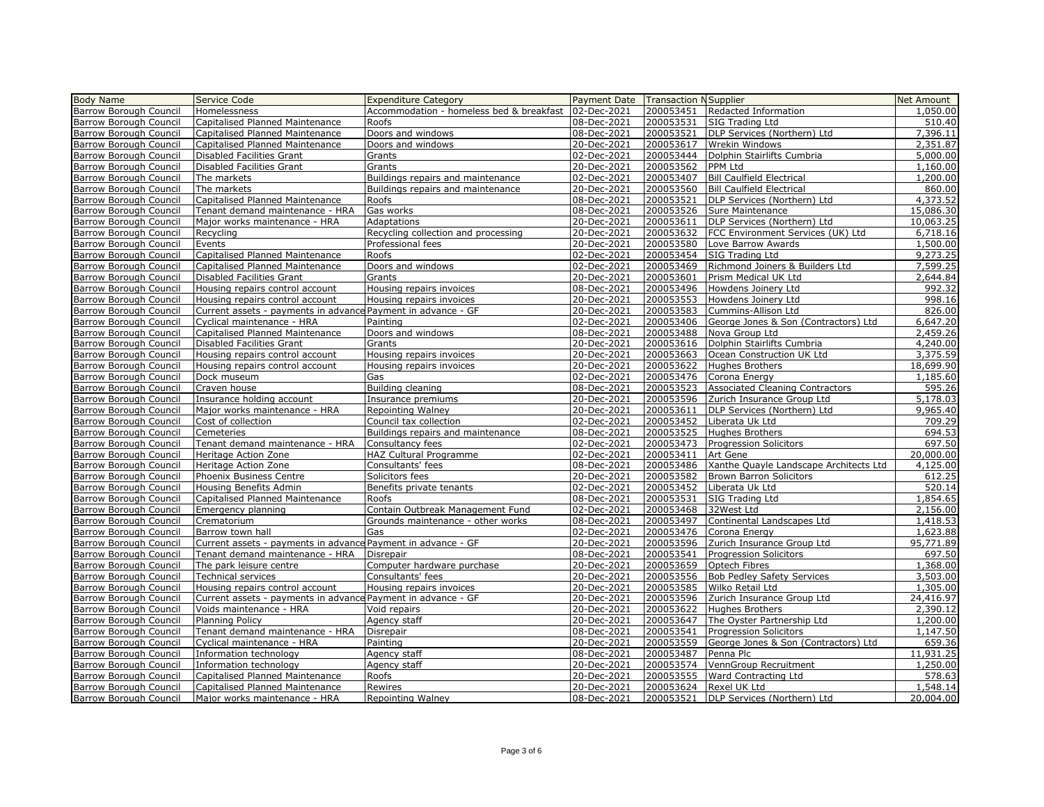| Payment Date Transaction NSupplier<br><b>Barrow Borough Council</b><br>Accommodation - homeless bed & breakfast 02-Dec-2021<br>200053451<br>Redacted Information<br>1,050.00<br><b>Homelessness</b><br>Capitalised Planned Maintenance<br>08-Dec-2021<br>200053531<br>SIG Trading Ltd<br>510.40<br>Roofs<br>Doors and windows<br>200053521<br>7,396.11<br><b>Barrow Borough Council</b><br>Capitalised Planned Maintenance<br>08-Dec-2021<br>DLP Services (Northern) Ltd<br>2,351.87<br>20-Dec-2021<br>200053617<br><b>Wrekin Windows</b><br>Capitalised Planned Maintenance<br>Doors and windows<br>02-Dec-2021<br>200053444<br>Dolphin Stairlifts Cumbria<br>5,000.00<br>Disabled Facilities Grant<br>Grants<br>200053562<br>Barrow Borough Council<br>Disabled Facilities Grant<br>Grants<br>20-Dec-2021<br>PPM Ltd<br>Barrow Borough Council<br>02-Dec-2021<br>200053407<br><b>Bill Caulfield Electrical</b><br>The markets<br>Buildings repairs and maintenance<br>200053560<br>The markets<br>20-Dec-2021<br>Bill Caulfield Electrical<br>Buildings repairs and maintenance<br>Barrow Borough Council<br>Capitalised Planned Maintenance<br>Roofs<br>08-Dec-2021<br>200053521<br>DLP Services (Northern) Ltd<br>200053526<br>Barrow Borough Council<br>Tenant demand maintenance - HRA<br>Gas works<br>08-Dec-2021<br>Sure Maintenance<br>20-Dec-2021<br>200053611<br>DLP Services (Northern) Ltd<br>Major works maintenance - HRA<br>Adaptations<br>Barrow Borough Council<br>FCC Environment Services (UK) Ltd<br>Recycling<br>Recycling collection and processing<br>20-Dec-2021<br>200053632<br>200053580<br>Barrow Borough Council<br>Events<br>Professional fees<br>20-Dec-2021<br>Love Barrow Awards<br>02-Dec-2021<br>200053454<br>Barrow Borough Council<br>Capitalised Planned Maintenance<br>Roofs<br>SIG Trading Ltd<br>200053469<br>Capitalised Planned Maintenance<br>Doors and windows<br>02-Dec-2021<br>Richmond Joiners & Builders Ltd<br>200053601<br>Disabled Facilities Grant<br>Grants<br>20-Dec-2021<br>Prism Medical UK Ltd<br>2,644.84<br>200053496<br>992.32<br>Barrow Borough Council<br>Housing repairs control account<br>Housing repairs invoices<br>08-Dec-2021<br>Howdens Joinery Ltd<br>200053553<br>998.16<br>20-Dec-2021<br>Howdens Joinery Ltd<br>Housing repairs control account<br>Housing repairs invoices<br>200053583<br>826.00<br>Current assets - payments in advance Payment in advance - GF<br>20-Dec-2021<br>Cummins-Allison Ltd<br>200053406<br>George Jones & Son (Contractors) Ltd<br>6,647.20<br>Barrow Borough Council<br>Cyclical maintenance - HRA<br>02-Dec-2021<br>Painting<br>Doors and windows<br>08-Dec-2021<br>200053488<br>Nova Group Ltd<br>2,459.26<br>Capitalised Planned Maintenance<br>20-Dec-2021<br>200053616<br>4,240.00<br>Disabled Facilities Grant<br>Grants<br>Dolphin Stairlifts Cumbria<br>200053663<br>Ocean Construction UK Ltd<br>3,375.59<br>Housing repairs control account<br>Housing repairs invoices<br>20-Dec-2021<br>20-Dec-2021<br>200053622<br>Hughes Brothers<br>18,699.90<br>Housing repairs control account<br>Housing repairs invoices<br>02-Dec-2021<br>200053476<br>1,185.60<br>Dock museum<br>Gas<br>Corona Energy<br>Building cleaning<br>200053523<br><b>Associated Cleaning Contractors</b><br>Craven house<br>08-Dec-2021<br>20-Dec-2021<br>200053596<br>Barrow Borough Council<br>Insurance holding account<br>Insurance premiums<br>Zurich Insurance Group Ltd<br>200053611<br>Major works maintenance - HRA<br>Repointing Walney<br>20-Dec-2021<br>DLP Services (Northern) Ltd<br>Council tax collection<br>02-Dec-2021<br>200053452<br>Liberata Uk Ltd<br>Barrow Borough Council<br>Cost of collection<br>200053525<br>Barrow Borough Council<br>Cemeteries<br>Buildings repairs and maintenance<br>08-Dec-2021<br>Hughes Brothers<br>Barrow Borough Council<br>Tenant demand maintenance - HRA<br>02-Dec-2021<br>200053473<br><b>Progression Solicitors</b><br>Consultancy fees<br>02-Dec-2021<br>200053411<br>Heritage Action Zone<br><b>HAZ Cultural Programme</b><br>Art Gene<br>200053486<br>Xanthe Quayle Landscape Architects Ltd<br>Heritage Action Zone<br>Consultants' fees<br>08-Dec-2021<br>Barrow Borough Council<br>Phoenix Business Centre<br>Solicitors fees<br>20-Dec-2021<br>200053582<br><b>Brown Barron Solicitors</b><br>200053452<br>Barrow Borough Council<br>Housing Benefits Admin<br>Benefits private tenants<br>02-Dec-2021<br>Liberata Uk Ltd<br>Barrow Borough Council<br>Capitalised Planned Maintenance<br>08-Dec-2021<br>200053531<br>SIG Trading Ltd<br>1,854.65<br>Roofs<br>Contain Outbreak Management Fund<br>02-Dec-2021<br>200053468<br>32West Ltd<br>2,156.00<br><b>Barrow Borough Council</b><br>Emergency planning<br>1,418.53<br>Barrow Borough Council<br>Crematorium<br>Grounds maintenance - other works<br>08-Dec-2021<br>200053497<br>Continental Landscapes Ltd<br>Barrow Borough Council<br>02-Dec-2021<br>200053476<br>1,623.88<br>Barrow town hall<br>Gas<br>Corona Energy<br>Current assets - payments in advance Payment in advance - GF<br>20-Dec-2021<br>200053596<br>Zurich Insurance Group Ltd<br>95,771.89<br>200053541<br>697.50<br>Barrow Borough Council<br>Tenant demand maintenance - HRA<br>08-Dec-2021<br>Progression Solicitors<br>Disrepair<br>200053659<br>1,368.00<br>The park leisure centre<br>Computer hardware purchase<br>20-Dec-2021<br>Optech Fibres<br>200053556<br>Barrow Borough Council<br>Consultants' fees<br>20-Dec-2021<br><b>Bob Pedley Safety Services</b><br>3,503.00<br>Technical services | <b>Body Name</b> | <b>Service Code</b> | <b>Expenditure Category</b> |  | Net Amount |
|----------------------------------------------------------------------------------------------------------------------------------------------------------------------------------------------------------------------------------------------------------------------------------------------------------------------------------------------------------------------------------------------------------------------------------------------------------------------------------------------------------------------------------------------------------------------------------------------------------------------------------------------------------------------------------------------------------------------------------------------------------------------------------------------------------------------------------------------------------------------------------------------------------------------------------------------------------------------------------------------------------------------------------------------------------------------------------------------------------------------------------------------------------------------------------------------------------------------------------------------------------------------------------------------------------------------------------------------------------------------------------------------------------------------------------------------------------------------------------------------------------------------------------------------------------------------------------------------------------------------------------------------------------------------------------------------------------------------------------------------------------------------------------------------------------------------------------------------------------------------------------------------------------------------------------------------------------------------------------------------------------------------------------------------------------------------------------------------------------------------------------------------------------------------------------------------------------------------------------------------------------------------------------------------------------------------------------------------------------------------------------------------------------------------------------------------------------------------------------------------------------------------------------------------------------------------------------------------------------------------------------------------------------------------------------------------------------------------------------------------------------------------------------------------------------------------------------------------------------------------------------------------------------------------------------------------------------------------------------------------------------------------------------------------------------------------------------------------------------------------------------------------------------------------------------------------------------------------------------------------------------------------------------------------------------------------------------------------------------------------------------------------------------------------------------------------------------------------------------------------------------------------------------------------------------------------------------------------------------------------------------------------------------------------------------------------------------------------------------------------------------------------------------------------------------------------------------------------------------------------------------------------------------------------------------------------------------------------------------------------------------------------------------------------------------------------------------------------------------------------------------------------------------------------------------------------------------------------------------------------------------------------------------------------------------------------------------------------------------------------------------------------------------------------------------------------------------------------------------------------------------------------------------------------------------------------------------------------------------------------------------------------------------------------------------------------------------------------------------------------------------------------------------------------------------------------------------------------------------------------------------------------------------------------------------------------------------------------------------------------------------------------------------------------------------------------------------------------------------------------------------------------------------------------------------------------------------------------------------------------------------------------------------------------------------------------------------------------------------------------------------------------------------------------------------------------------------------------------------------------------------------------------------------------------------------------------------------------|------------------|---------------------|-----------------------------|--|------------|
| <b>Barrow Borough Council</b><br>Barrow Borough Council<br><b>Barrow Borough Council</b><br>Barrow Borough Council<br>Barrow Borough Council<br><b>Barrow Borough Council</b><br><b>Barrow Borough Council</b><br>Barrow Borough Council<br><b>Barrow Borough Council</b><br><b>Barrow Borough Council</b><br><b>Barrow Borough Council</b><br><b>Barrow Borough Council</b><br><b>Barrow Borough Council</b><br>Barrow Borough Council<br><b>Barrow Borough Council</b><br>Barrow Borough Council<br><b>Barrow Borough Council</b><br>Barrow Borough Council<br><b>Barrow Borough Council</b><br><b>Barrow Borough Council</b>                                                                                                                                                                                                                                                                                                                                                                                                                                                                                                                                                                                                                                                                                                                                                                                                                                                                                                                                                                                                                                                                                                                                                                                                                                                                                                                                                                                                                                                                                                                                                                                                                                                                                                                                                                                                                                                                                                                                                                                                                                                                                                                                                                                                                                                                                                                                                                                                                                                                                                                                                                                                                                                                                                                                                                                                                                                                                                                                                                                                                                                                                                                                                                                                                                                                                                                                                                                                                                                                                                                                                                                                                                                                                                                                                                                                                                                                                                                                                                                                                                                                                                                                                                                                                                                                                                                                                                                                                                                                                                                                                                                                                                                                                                                                                                                                                                                                                                                                                              |                  |                     |                             |  |            |
|                                                                                                                                                                                                                                                                                                                                                                                                                                                                                                                                                                                                                                                                                                                                                                                                                                                                                                                                                                                                                                                                                                                                                                                                                                                                                                                                                                                                                                                                                                                                                                                                                                                                                                                                                                                                                                                                                                                                                                                                                                                                                                                                                                                                                                                                                                                                                                                                                                                                                                                                                                                                                                                                                                                                                                                                                                                                                                                                                                                                                                                                                                                                                                                                                                                                                                                                                                                                                                                                                                                                                                                                                                                                                                                                                                                                                                                                                                                                                                                                                                                                                                                                                                                                                                                                                                                                                                                                                                                                                                                                                                                                                                                                                                                                                                                                                                                                                                                                                                                                                                                                                                                                                                                                                                                                                                                                                                                                                                                                                                                                                                                              |                  |                     |                             |  |            |
|                                                                                                                                                                                                                                                                                                                                                                                                                                                                                                                                                                                                                                                                                                                                                                                                                                                                                                                                                                                                                                                                                                                                                                                                                                                                                                                                                                                                                                                                                                                                                                                                                                                                                                                                                                                                                                                                                                                                                                                                                                                                                                                                                                                                                                                                                                                                                                                                                                                                                                                                                                                                                                                                                                                                                                                                                                                                                                                                                                                                                                                                                                                                                                                                                                                                                                                                                                                                                                                                                                                                                                                                                                                                                                                                                                                                                                                                                                                                                                                                                                                                                                                                                                                                                                                                                                                                                                                                                                                                                                                                                                                                                                                                                                                                                                                                                                                                                                                                                                                                                                                                                                                                                                                                                                                                                                                                                                                                                                                                                                                                                                                              |                  |                     |                             |  |            |
|                                                                                                                                                                                                                                                                                                                                                                                                                                                                                                                                                                                                                                                                                                                                                                                                                                                                                                                                                                                                                                                                                                                                                                                                                                                                                                                                                                                                                                                                                                                                                                                                                                                                                                                                                                                                                                                                                                                                                                                                                                                                                                                                                                                                                                                                                                                                                                                                                                                                                                                                                                                                                                                                                                                                                                                                                                                                                                                                                                                                                                                                                                                                                                                                                                                                                                                                                                                                                                                                                                                                                                                                                                                                                                                                                                                                                                                                                                                                                                                                                                                                                                                                                                                                                                                                                                                                                                                                                                                                                                                                                                                                                                                                                                                                                                                                                                                                                                                                                                                                                                                                                                                                                                                                                                                                                                                                                                                                                                                                                                                                                                                              |                  |                     |                             |  |            |
|                                                                                                                                                                                                                                                                                                                                                                                                                                                                                                                                                                                                                                                                                                                                                                                                                                                                                                                                                                                                                                                                                                                                                                                                                                                                                                                                                                                                                                                                                                                                                                                                                                                                                                                                                                                                                                                                                                                                                                                                                                                                                                                                                                                                                                                                                                                                                                                                                                                                                                                                                                                                                                                                                                                                                                                                                                                                                                                                                                                                                                                                                                                                                                                                                                                                                                                                                                                                                                                                                                                                                                                                                                                                                                                                                                                                                                                                                                                                                                                                                                                                                                                                                                                                                                                                                                                                                                                                                                                                                                                                                                                                                                                                                                                                                                                                                                                                                                                                                                                                                                                                                                                                                                                                                                                                                                                                                                                                                                                                                                                                                                                              |                  |                     |                             |  |            |
|                                                                                                                                                                                                                                                                                                                                                                                                                                                                                                                                                                                                                                                                                                                                                                                                                                                                                                                                                                                                                                                                                                                                                                                                                                                                                                                                                                                                                                                                                                                                                                                                                                                                                                                                                                                                                                                                                                                                                                                                                                                                                                                                                                                                                                                                                                                                                                                                                                                                                                                                                                                                                                                                                                                                                                                                                                                                                                                                                                                                                                                                                                                                                                                                                                                                                                                                                                                                                                                                                                                                                                                                                                                                                                                                                                                                                                                                                                                                                                                                                                                                                                                                                                                                                                                                                                                                                                                                                                                                                                                                                                                                                                                                                                                                                                                                                                                                                                                                                                                                                                                                                                                                                                                                                                                                                                                                                                                                                                                                                                                                                                                              |                  |                     |                             |  |            |
|                                                                                                                                                                                                                                                                                                                                                                                                                                                                                                                                                                                                                                                                                                                                                                                                                                                                                                                                                                                                                                                                                                                                                                                                                                                                                                                                                                                                                                                                                                                                                                                                                                                                                                                                                                                                                                                                                                                                                                                                                                                                                                                                                                                                                                                                                                                                                                                                                                                                                                                                                                                                                                                                                                                                                                                                                                                                                                                                                                                                                                                                                                                                                                                                                                                                                                                                                                                                                                                                                                                                                                                                                                                                                                                                                                                                                                                                                                                                                                                                                                                                                                                                                                                                                                                                                                                                                                                                                                                                                                                                                                                                                                                                                                                                                                                                                                                                                                                                                                                                                                                                                                                                                                                                                                                                                                                                                                                                                                                                                                                                                                                              |                  |                     |                             |  | 1,160.00   |
|                                                                                                                                                                                                                                                                                                                                                                                                                                                                                                                                                                                                                                                                                                                                                                                                                                                                                                                                                                                                                                                                                                                                                                                                                                                                                                                                                                                                                                                                                                                                                                                                                                                                                                                                                                                                                                                                                                                                                                                                                                                                                                                                                                                                                                                                                                                                                                                                                                                                                                                                                                                                                                                                                                                                                                                                                                                                                                                                                                                                                                                                                                                                                                                                                                                                                                                                                                                                                                                                                                                                                                                                                                                                                                                                                                                                                                                                                                                                                                                                                                                                                                                                                                                                                                                                                                                                                                                                                                                                                                                                                                                                                                                                                                                                                                                                                                                                                                                                                                                                                                                                                                                                                                                                                                                                                                                                                                                                                                                                                                                                                                                              |                  |                     |                             |  | 1,200.00   |
|                                                                                                                                                                                                                                                                                                                                                                                                                                                                                                                                                                                                                                                                                                                                                                                                                                                                                                                                                                                                                                                                                                                                                                                                                                                                                                                                                                                                                                                                                                                                                                                                                                                                                                                                                                                                                                                                                                                                                                                                                                                                                                                                                                                                                                                                                                                                                                                                                                                                                                                                                                                                                                                                                                                                                                                                                                                                                                                                                                                                                                                                                                                                                                                                                                                                                                                                                                                                                                                                                                                                                                                                                                                                                                                                                                                                                                                                                                                                                                                                                                                                                                                                                                                                                                                                                                                                                                                                                                                                                                                                                                                                                                                                                                                                                                                                                                                                                                                                                                                                                                                                                                                                                                                                                                                                                                                                                                                                                                                                                                                                                                                              |                  |                     |                             |  | 860.00     |
|                                                                                                                                                                                                                                                                                                                                                                                                                                                                                                                                                                                                                                                                                                                                                                                                                                                                                                                                                                                                                                                                                                                                                                                                                                                                                                                                                                                                                                                                                                                                                                                                                                                                                                                                                                                                                                                                                                                                                                                                                                                                                                                                                                                                                                                                                                                                                                                                                                                                                                                                                                                                                                                                                                                                                                                                                                                                                                                                                                                                                                                                                                                                                                                                                                                                                                                                                                                                                                                                                                                                                                                                                                                                                                                                                                                                                                                                                                                                                                                                                                                                                                                                                                                                                                                                                                                                                                                                                                                                                                                                                                                                                                                                                                                                                                                                                                                                                                                                                                                                                                                                                                                                                                                                                                                                                                                                                                                                                                                                                                                                                                                              |                  |                     |                             |  | 4,373.52   |
|                                                                                                                                                                                                                                                                                                                                                                                                                                                                                                                                                                                                                                                                                                                                                                                                                                                                                                                                                                                                                                                                                                                                                                                                                                                                                                                                                                                                                                                                                                                                                                                                                                                                                                                                                                                                                                                                                                                                                                                                                                                                                                                                                                                                                                                                                                                                                                                                                                                                                                                                                                                                                                                                                                                                                                                                                                                                                                                                                                                                                                                                                                                                                                                                                                                                                                                                                                                                                                                                                                                                                                                                                                                                                                                                                                                                                                                                                                                                                                                                                                                                                                                                                                                                                                                                                                                                                                                                                                                                                                                                                                                                                                                                                                                                                                                                                                                                                                                                                                                                                                                                                                                                                                                                                                                                                                                                                                                                                                                                                                                                                                                              |                  |                     |                             |  | 15,086.30  |
|                                                                                                                                                                                                                                                                                                                                                                                                                                                                                                                                                                                                                                                                                                                                                                                                                                                                                                                                                                                                                                                                                                                                                                                                                                                                                                                                                                                                                                                                                                                                                                                                                                                                                                                                                                                                                                                                                                                                                                                                                                                                                                                                                                                                                                                                                                                                                                                                                                                                                                                                                                                                                                                                                                                                                                                                                                                                                                                                                                                                                                                                                                                                                                                                                                                                                                                                                                                                                                                                                                                                                                                                                                                                                                                                                                                                                                                                                                                                                                                                                                                                                                                                                                                                                                                                                                                                                                                                                                                                                                                                                                                                                                                                                                                                                                                                                                                                                                                                                                                                                                                                                                                                                                                                                                                                                                                                                                                                                                                                                                                                                                                              |                  |                     |                             |  | 10,063.25  |
|                                                                                                                                                                                                                                                                                                                                                                                                                                                                                                                                                                                                                                                                                                                                                                                                                                                                                                                                                                                                                                                                                                                                                                                                                                                                                                                                                                                                                                                                                                                                                                                                                                                                                                                                                                                                                                                                                                                                                                                                                                                                                                                                                                                                                                                                                                                                                                                                                                                                                                                                                                                                                                                                                                                                                                                                                                                                                                                                                                                                                                                                                                                                                                                                                                                                                                                                                                                                                                                                                                                                                                                                                                                                                                                                                                                                                                                                                                                                                                                                                                                                                                                                                                                                                                                                                                                                                                                                                                                                                                                                                                                                                                                                                                                                                                                                                                                                                                                                                                                                                                                                                                                                                                                                                                                                                                                                                                                                                                                                                                                                                                                              |                  |                     |                             |  | 6,718.16   |
|                                                                                                                                                                                                                                                                                                                                                                                                                                                                                                                                                                                                                                                                                                                                                                                                                                                                                                                                                                                                                                                                                                                                                                                                                                                                                                                                                                                                                                                                                                                                                                                                                                                                                                                                                                                                                                                                                                                                                                                                                                                                                                                                                                                                                                                                                                                                                                                                                                                                                                                                                                                                                                                                                                                                                                                                                                                                                                                                                                                                                                                                                                                                                                                                                                                                                                                                                                                                                                                                                                                                                                                                                                                                                                                                                                                                                                                                                                                                                                                                                                                                                                                                                                                                                                                                                                                                                                                                                                                                                                                                                                                                                                                                                                                                                                                                                                                                                                                                                                                                                                                                                                                                                                                                                                                                                                                                                                                                                                                                                                                                                                                              |                  |                     |                             |  | 1,500.00   |
|                                                                                                                                                                                                                                                                                                                                                                                                                                                                                                                                                                                                                                                                                                                                                                                                                                                                                                                                                                                                                                                                                                                                                                                                                                                                                                                                                                                                                                                                                                                                                                                                                                                                                                                                                                                                                                                                                                                                                                                                                                                                                                                                                                                                                                                                                                                                                                                                                                                                                                                                                                                                                                                                                                                                                                                                                                                                                                                                                                                                                                                                                                                                                                                                                                                                                                                                                                                                                                                                                                                                                                                                                                                                                                                                                                                                                                                                                                                                                                                                                                                                                                                                                                                                                                                                                                                                                                                                                                                                                                                                                                                                                                                                                                                                                                                                                                                                                                                                                                                                                                                                                                                                                                                                                                                                                                                                                                                                                                                                                                                                                                                              |                  |                     |                             |  | 9,273.25   |
|                                                                                                                                                                                                                                                                                                                                                                                                                                                                                                                                                                                                                                                                                                                                                                                                                                                                                                                                                                                                                                                                                                                                                                                                                                                                                                                                                                                                                                                                                                                                                                                                                                                                                                                                                                                                                                                                                                                                                                                                                                                                                                                                                                                                                                                                                                                                                                                                                                                                                                                                                                                                                                                                                                                                                                                                                                                                                                                                                                                                                                                                                                                                                                                                                                                                                                                                                                                                                                                                                                                                                                                                                                                                                                                                                                                                                                                                                                                                                                                                                                                                                                                                                                                                                                                                                                                                                                                                                                                                                                                                                                                                                                                                                                                                                                                                                                                                                                                                                                                                                                                                                                                                                                                                                                                                                                                                                                                                                                                                                                                                                                                              |                  |                     |                             |  | 7,599.25   |
|                                                                                                                                                                                                                                                                                                                                                                                                                                                                                                                                                                                                                                                                                                                                                                                                                                                                                                                                                                                                                                                                                                                                                                                                                                                                                                                                                                                                                                                                                                                                                                                                                                                                                                                                                                                                                                                                                                                                                                                                                                                                                                                                                                                                                                                                                                                                                                                                                                                                                                                                                                                                                                                                                                                                                                                                                                                                                                                                                                                                                                                                                                                                                                                                                                                                                                                                                                                                                                                                                                                                                                                                                                                                                                                                                                                                                                                                                                                                                                                                                                                                                                                                                                                                                                                                                                                                                                                                                                                                                                                                                                                                                                                                                                                                                                                                                                                                                                                                                                                                                                                                                                                                                                                                                                                                                                                                                                                                                                                                                                                                                                                              |                  |                     |                             |  |            |
|                                                                                                                                                                                                                                                                                                                                                                                                                                                                                                                                                                                                                                                                                                                                                                                                                                                                                                                                                                                                                                                                                                                                                                                                                                                                                                                                                                                                                                                                                                                                                                                                                                                                                                                                                                                                                                                                                                                                                                                                                                                                                                                                                                                                                                                                                                                                                                                                                                                                                                                                                                                                                                                                                                                                                                                                                                                                                                                                                                                                                                                                                                                                                                                                                                                                                                                                                                                                                                                                                                                                                                                                                                                                                                                                                                                                                                                                                                                                                                                                                                                                                                                                                                                                                                                                                                                                                                                                                                                                                                                                                                                                                                                                                                                                                                                                                                                                                                                                                                                                                                                                                                                                                                                                                                                                                                                                                                                                                                                                                                                                                                                              |                  |                     |                             |  |            |
|                                                                                                                                                                                                                                                                                                                                                                                                                                                                                                                                                                                                                                                                                                                                                                                                                                                                                                                                                                                                                                                                                                                                                                                                                                                                                                                                                                                                                                                                                                                                                                                                                                                                                                                                                                                                                                                                                                                                                                                                                                                                                                                                                                                                                                                                                                                                                                                                                                                                                                                                                                                                                                                                                                                                                                                                                                                                                                                                                                                                                                                                                                                                                                                                                                                                                                                                                                                                                                                                                                                                                                                                                                                                                                                                                                                                                                                                                                                                                                                                                                                                                                                                                                                                                                                                                                                                                                                                                                                                                                                                                                                                                                                                                                                                                                                                                                                                                                                                                                                                                                                                                                                                                                                                                                                                                                                                                                                                                                                                                                                                                                                              |                  |                     |                             |  |            |
|                                                                                                                                                                                                                                                                                                                                                                                                                                                                                                                                                                                                                                                                                                                                                                                                                                                                                                                                                                                                                                                                                                                                                                                                                                                                                                                                                                                                                                                                                                                                                                                                                                                                                                                                                                                                                                                                                                                                                                                                                                                                                                                                                                                                                                                                                                                                                                                                                                                                                                                                                                                                                                                                                                                                                                                                                                                                                                                                                                                                                                                                                                                                                                                                                                                                                                                                                                                                                                                                                                                                                                                                                                                                                                                                                                                                                                                                                                                                                                                                                                                                                                                                                                                                                                                                                                                                                                                                                                                                                                                                                                                                                                                                                                                                                                                                                                                                                                                                                                                                                                                                                                                                                                                                                                                                                                                                                                                                                                                                                                                                                                                              |                  |                     |                             |  |            |
|                                                                                                                                                                                                                                                                                                                                                                                                                                                                                                                                                                                                                                                                                                                                                                                                                                                                                                                                                                                                                                                                                                                                                                                                                                                                                                                                                                                                                                                                                                                                                                                                                                                                                                                                                                                                                                                                                                                                                                                                                                                                                                                                                                                                                                                                                                                                                                                                                                                                                                                                                                                                                                                                                                                                                                                                                                                                                                                                                                                                                                                                                                                                                                                                                                                                                                                                                                                                                                                                                                                                                                                                                                                                                                                                                                                                                                                                                                                                                                                                                                                                                                                                                                                                                                                                                                                                                                                                                                                                                                                                                                                                                                                                                                                                                                                                                                                                                                                                                                                                                                                                                                                                                                                                                                                                                                                                                                                                                                                                                                                                                                                              |                  |                     |                             |  |            |
|                                                                                                                                                                                                                                                                                                                                                                                                                                                                                                                                                                                                                                                                                                                                                                                                                                                                                                                                                                                                                                                                                                                                                                                                                                                                                                                                                                                                                                                                                                                                                                                                                                                                                                                                                                                                                                                                                                                                                                                                                                                                                                                                                                                                                                                                                                                                                                                                                                                                                                                                                                                                                                                                                                                                                                                                                                                                                                                                                                                                                                                                                                                                                                                                                                                                                                                                                                                                                                                                                                                                                                                                                                                                                                                                                                                                                                                                                                                                                                                                                                                                                                                                                                                                                                                                                                                                                                                                                                                                                                                                                                                                                                                                                                                                                                                                                                                                                                                                                                                                                                                                                                                                                                                                                                                                                                                                                                                                                                                                                                                                                                                              |                  |                     |                             |  |            |
|                                                                                                                                                                                                                                                                                                                                                                                                                                                                                                                                                                                                                                                                                                                                                                                                                                                                                                                                                                                                                                                                                                                                                                                                                                                                                                                                                                                                                                                                                                                                                                                                                                                                                                                                                                                                                                                                                                                                                                                                                                                                                                                                                                                                                                                                                                                                                                                                                                                                                                                                                                                                                                                                                                                                                                                                                                                                                                                                                                                                                                                                                                                                                                                                                                                                                                                                                                                                                                                                                                                                                                                                                                                                                                                                                                                                                                                                                                                                                                                                                                                                                                                                                                                                                                                                                                                                                                                                                                                                                                                                                                                                                                                                                                                                                                                                                                                                                                                                                                                                                                                                                                                                                                                                                                                                                                                                                                                                                                                                                                                                                                                              |                  |                     |                             |  |            |
|                                                                                                                                                                                                                                                                                                                                                                                                                                                                                                                                                                                                                                                                                                                                                                                                                                                                                                                                                                                                                                                                                                                                                                                                                                                                                                                                                                                                                                                                                                                                                                                                                                                                                                                                                                                                                                                                                                                                                                                                                                                                                                                                                                                                                                                                                                                                                                                                                                                                                                                                                                                                                                                                                                                                                                                                                                                                                                                                                                                                                                                                                                                                                                                                                                                                                                                                                                                                                                                                                                                                                                                                                                                                                                                                                                                                                                                                                                                                                                                                                                                                                                                                                                                                                                                                                                                                                                                                                                                                                                                                                                                                                                                                                                                                                                                                                                                                                                                                                                                                                                                                                                                                                                                                                                                                                                                                                                                                                                                                                                                                                                                              |                  |                     |                             |  |            |
|                                                                                                                                                                                                                                                                                                                                                                                                                                                                                                                                                                                                                                                                                                                                                                                                                                                                                                                                                                                                                                                                                                                                                                                                                                                                                                                                                                                                                                                                                                                                                                                                                                                                                                                                                                                                                                                                                                                                                                                                                                                                                                                                                                                                                                                                                                                                                                                                                                                                                                                                                                                                                                                                                                                                                                                                                                                                                                                                                                                                                                                                                                                                                                                                                                                                                                                                                                                                                                                                                                                                                                                                                                                                                                                                                                                                                                                                                                                                                                                                                                                                                                                                                                                                                                                                                                                                                                                                                                                                                                                                                                                                                                                                                                                                                                                                                                                                                                                                                                                                                                                                                                                                                                                                                                                                                                                                                                                                                                                                                                                                                                                              |                  |                     |                             |  |            |
|                                                                                                                                                                                                                                                                                                                                                                                                                                                                                                                                                                                                                                                                                                                                                                                                                                                                                                                                                                                                                                                                                                                                                                                                                                                                                                                                                                                                                                                                                                                                                                                                                                                                                                                                                                                                                                                                                                                                                                                                                                                                                                                                                                                                                                                                                                                                                                                                                                                                                                                                                                                                                                                                                                                                                                                                                                                                                                                                                                                                                                                                                                                                                                                                                                                                                                                                                                                                                                                                                                                                                                                                                                                                                                                                                                                                                                                                                                                                                                                                                                                                                                                                                                                                                                                                                                                                                                                                                                                                                                                                                                                                                                                                                                                                                                                                                                                                                                                                                                                                                                                                                                                                                                                                                                                                                                                                                                                                                                                                                                                                                                                              |                  |                     |                             |  |            |
|                                                                                                                                                                                                                                                                                                                                                                                                                                                                                                                                                                                                                                                                                                                                                                                                                                                                                                                                                                                                                                                                                                                                                                                                                                                                                                                                                                                                                                                                                                                                                                                                                                                                                                                                                                                                                                                                                                                                                                                                                                                                                                                                                                                                                                                                                                                                                                                                                                                                                                                                                                                                                                                                                                                                                                                                                                                                                                                                                                                                                                                                                                                                                                                                                                                                                                                                                                                                                                                                                                                                                                                                                                                                                                                                                                                                                                                                                                                                                                                                                                                                                                                                                                                                                                                                                                                                                                                                                                                                                                                                                                                                                                                                                                                                                                                                                                                                                                                                                                                                                                                                                                                                                                                                                                                                                                                                                                                                                                                                                                                                                                                              |                  |                     |                             |  |            |
|                                                                                                                                                                                                                                                                                                                                                                                                                                                                                                                                                                                                                                                                                                                                                                                                                                                                                                                                                                                                                                                                                                                                                                                                                                                                                                                                                                                                                                                                                                                                                                                                                                                                                                                                                                                                                                                                                                                                                                                                                                                                                                                                                                                                                                                                                                                                                                                                                                                                                                                                                                                                                                                                                                                                                                                                                                                                                                                                                                                                                                                                                                                                                                                                                                                                                                                                                                                                                                                                                                                                                                                                                                                                                                                                                                                                                                                                                                                                                                                                                                                                                                                                                                                                                                                                                                                                                                                                                                                                                                                                                                                                                                                                                                                                                                                                                                                                                                                                                                                                                                                                                                                                                                                                                                                                                                                                                                                                                                                                                                                                                                                              |                  |                     |                             |  | 595.26     |
|                                                                                                                                                                                                                                                                                                                                                                                                                                                                                                                                                                                                                                                                                                                                                                                                                                                                                                                                                                                                                                                                                                                                                                                                                                                                                                                                                                                                                                                                                                                                                                                                                                                                                                                                                                                                                                                                                                                                                                                                                                                                                                                                                                                                                                                                                                                                                                                                                                                                                                                                                                                                                                                                                                                                                                                                                                                                                                                                                                                                                                                                                                                                                                                                                                                                                                                                                                                                                                                                                                                                                                                                                                                                                                                                                                                                                                                                                                                                                                                                                                                                                                                                                                                                                                                                                                                                                                                                                                                                                                                                                                                                                                                                                                                                                                                                                                                                                                                                                                                                                                                                                                                                                                                                                                                                                                                                                                                                                                                                                                                                                                                              |                  |                     |                             |  | 5,178.03   |
|                                                                                                                                                                                                                                                                                                                                                                                                                                                                                                                                                                                                                                                                                                                                                                                                                                                                                                                                                                                                                                                                                                                                                                                                                                                                                                                                                                                                                                                                                                                                                                                                                                                                                                                                                                                                                                                                                                                                                                                                                                                                                                                                                                                                                                                                                                                                                                                                                                                                                                                                                                                                                                                                                                                                                                                                                                                                                                                                                                                                                                                                                                                                                                                                                                                                                                                                                                                                                                                                                                                                                                                                                                                                                                                                                                                                                                                                                                                                                                                                                                                                                                                                                                                                                                                                                                                                                                                                                                                                                                                                                                                                                                                                                                                                                                                                                                                                                                                                                                                                                                                                                                                                                                                                                                                                                                                                                                                                                                                                                                                                                                                              |                  |                     |                             |  | 9,965.40   |
|                                                                                                                                                                                                                                                                                                                                                                                                                                                                                                                                                                                                                                                                                                                                                                                                                                                                                                                                                                                                                                                                                                                                                                                                                                                                                                                                                                                                                                                                                                                                                                                                                                                                                                                                                                                                                                                                                                                                                                                                                                                                                                                                                                                                                                                                                                                                                                                                                                                                                                                                                                                                                                                                                                                                                                                                                                                                                                                                                                                                                                                                                                                                                                                                                                                                                                                                                                                                                                                                                                                                                                                                                                                                                                                                                                                                                                                                                                                                                                                                                                                                                                                                                                                                                                                                                                                                                                                                                                                                                                                                                                                                                                                                                                                                                                                                                                                                                                                                                                                                                                                                                                                                                                                                                                                                                                                                                                                                                                                                                                                                                                                              |                  |                     |                             |  | 709.29     |
|                                                                                                                                                                                                                                                                                                                                                                                                                                                                                                                                                                                                                                                                                                                                                                                                                                                                                                                                                                                                                                                                                                                                                                                                                                                                                                                                                                                                                                                                                                                                                                                                                                                                                                                                                                                                                                                                                                                                                                                                                                                                                                                                                                                                                                                                                                                                                                                                                                                                                                                                                                                                                                                                                                                                                                                                                                                                                                                                                                                                                                                                                                                                                                                                                                                                                                                                                                                                                                                                                                                                                                                                                                                                                                                                                                                                                                                                                                                                                                                                                                                                                                                                                                                                                                                                                                                                                                                                                                                                                                                                                                                                                                                                                                                                                                                                                                                                                                                                                                                                                                                                                                                                                                                                                                                                                                                                                                                                                                                                                                                                                                                              |                  |                     |                             |  | 694.53     |
|                                                                                                                                                                                                                                                                                                                                                                                                                                                                                                                                                                                                                                                                                                                                                                                                                                                                                                                                                                                                                                                                                                                                                                                                                                                                                                                                                                                                                                                                                                                                                                                                                                                                                                                                                                                                                                                                                                                                                                                                                                                                                                                                                                                                                                                                                                                                                                                                                                                                                                                                                                                                                                                                                                                                                                                                                                                                                                                                                                                                                                                                                                                                                                                                                                                                                                                                                                                                                                                                                                                                                                                                                                                                                                                                                                                                                                                                                                                                                                                                                                                                                                                                                                                                                                                                                                                                                                                                                                                                                                                                                                                                                                                                                                                                                                                                                                                                                                                                                                                                                                                                                                                                                                                                                                                                                                                                                                                                                                                                                                                                                                                              |                  |                     |                             |  | 697.50     |
|                                                                                                                                                                                                                                                                                                                                                                                                                                                                                                                                                                                                                                                                                                                                                                                                                                                                                                                                                                                                                                                                                                                                                                                                                                                                                                                                                                                                                                                                                                                                                                                                                                                                                                                                                                                                                                                                                                                                                                                                                                                                                                                                                                                                                                                                                                                                                                                                                                                                                                                                                                                                                                                                                                                                                                                                                                                                                                                                                                                                                                                                                                                                                                                                                                                                                                                                                                                                                                                                                                                                                                                                                                                                                                                                                                                                                                                                                                                                                                                                                                                                                                                                                                                                                                                                                                                                                                                                                                                                                                                                                                                                                                                                                                                                                                                                                                                                                                                                                                                                                                                                                                                                                                                                                                                                                                                                                                                                                                                                                                                                                                                              |                  |                     |                             |  | 20,000.00  |
|                                                                                                                                                                                                                                                                                                                                                                                                                                                                                                                                                                                                                                                                                                                                                                                                                                                                                                                                                                                                                                                                                                                                                                                                                                                                                                                                                                                                                                                                                                                                                                                                                                                                                                                                                                                                                                                                                                                                                                                                                                                                                                                                                                                                                                                                                                                                                                                                                                                                                                                                                                                                                                                                                                                                                                                                                                                                                                                                                                                                                                                                                                                                                                                                                                                                                                                                                                                                                                                                                                                                                                                                                                                                                                                                                                                                                                                                                                                                                                                                                                                                                                                                                                                                                                                                                                                                                                                                                                                                                                                                                                                                                                                                                                                                                                                                                                                                                                                                                                                                                                                                                                                                                                                                                                                                                                                                                                                                                                                                                                                                                                                              |                  |                     |                             |  | 4,125.00   |
|                                                                                                                                                                                                                                                                                                                                                                                                                                                                                                                                                                                                                                                                                                                                                                                                                                                                                                                                                                                                                                                                                                                                                                                                                                                                                                                                                                                                                                                                                                                                                                                                                                                                                                                                                                                                                                                                                                                                                                                                                                                                                                                                                                                                                                                                                                                                                                                                                                                                                                                                                                                                                                                                                                                                                                                                                                                                                                                                                                                                                                                                                                                                                                                                                                                                                                                                                                                                                                                                                                                                                                                                                                                                                                                                                                                                                                                                                                                                                                                                                                                                                                                                                                                                                                                                                                                                                                                                                                                                                                                                                                                                                                                                                                                                                                                                                                                                                                                                                                                                                                                                                                                                                                                                                                                                                                                                                                                                                                                                                                                                                                                              |                  |                     |                             |  | 612.25     |
|                                                                                                                                                                                                                                                                                                                                                                                                                                                                                                                                                                                                                                                                                                                                                                                                                                                                                                                                                                                                                                                                                                                                                                                                                                                                                                                                                                                                                                                                                                                                                                                                                                                                                                                                                                                                                                                                                                                                                                                                                                                                                                                                                                                                                                                                                                                                                                                                                                                                                                                                                                                                                                                                                                                                                                                                                                                                                                                                                                                                                                                                                                                                                                                                                                                                                                                                                                                                                                                                                                                                                                                                                                                                                                                                                                                                                                                                                                                                                                                                                                                                                                                                                                                                                                                                                                                                                                                                                                                                                                                                                                                                                                                                                                                                                                                                                                                                                                                                                                                                                                                                                                                                                                                                                                                                                                                                                                                                                                                                                                                                                                                              |                  |                     |                             |  | 520.14     |
|                                                                                                                                                                                                                                                                                                                                                                                                                                                                                                                                                                                                                                                                                                                                                                                                                                                                                                                                                                                                                                                                                                                                                                                                                                                                                                                                                                                                                                                                                                                                                                                                                                                                                                                                                                                                                                                                                                                                                                                                                                                                                                                                                                                                                                                                                                                                                                                                                                                                                                                                                                                                                                                                                                                                                                                                                                                                                                                                                                                                                                                                                                                                                                                                                                                                                                                                                                                                                                                                                                                                                                                                                                                                                                                                                                                                                                                                                                                                                                                                                                                                                                                                                                                                                                                                                                                                                                                                                                                                                                                                                                                                                                                                                                                                                                                                                                                                                                                                                                                                                                                                                                                                                                                                                                                                                                                                                                                                                                                                                                                                                                                              |                  |                     |                             |  |            |
|                                                                                                                                                                                                                                                                                                                                                                                                                                                                                                                                                                                                                                                                                                                                                                                                                                                                                                                                                                                                                                                                                                                                                                                                                                                                                                                                                                                                                                                                                                                                                                                                                                                                                                                                                                                                                                                                                                                                                                                                                                                                                                                                                                                                                                                                                                                                                                                                                                                                                                                                                                                                                                                                                                                                                                                                                                                                                                                                                                                                                                                                                                                                                                                                                                                                                                                                                                                                                                                                                                                                                                                                                                                                                                                                                                                                                                                                                                                                                                                                                                                                                                                                                                                                                                                                                                                                                                                                                                                                                                                                                                                                                                                                                                                                                                                                                                                                                                                                                                                                                                                                                                                                                                                                                                                                                                                                                                                                                                                                                                                                                                                              |                  |                     |                             |  |            |
|                                                                                                                                                                                                                                                                                                                                                                                                                                                                                                                                                                                                                                                                                                                                                                                                                                                                                                                                                                                                                                                                                                                                                                                                                                                                                                                                                                                                                                                                                                                                                                                                                                                                                                                                                                                                                                                                                                                                                                                                                                                                                                                                                                                                                                                                                                                                                                                                                                                                                                                                                                                                                                                                                                                                                                                                                                                                                                                                                                                                                                                                                                                                                                                                                                                                                                                                                                                                                                                                                                                                                                                                                                                                                                                                                                                                                                                                                                                                                                                                                                                                                                                                                                                                                                                                                                                                                                                                                                                                                                                                                                                                                                                                                                                                                                                                                                                                                                                                                                                                                                                                                                                                                                                                                                                                                                                                                                                                                                                                                                                                                                                              |                  |                     |                             |  |            |
|                                                                                                                                                                                                                                                                                                                                                                                                                                                                                                                                                                                                                                                                                                                                                                                                                                                                                                                                                                                                                                                                                                                                                                                                                                                                                                                                                                                                                                                                                                                                                                                                                                                                                                                                                                                                                                                                                                                                                                                                                                                                                                                                                                                                                                                                                                                                                                                                                                                                                                                                                                                                                                                                                                                                                                                                                                                                                                                                                                                                                                                                                                                                                                                                                                                                                                                                                                                                                                                                                                                                                                                                                                                                                                                                                                                                                                                                                                                                                                                                                                                                                                                                                                                                                                                                                                                                                                                                                                                                                                                                                                                                                                                                                                                                                                                                                                                                                                                                                                                                                                                                                                                                                                                                                                                                                                                                                                                                                                                                                                                                                                                              |                  |                     |                             |  |            |
|                                                                                                                                                                                                                                                                                                                                                                                                                                                                                                                                                                                                                                                                                                                                                                                                                                                                                                                                                                                                                                                                                                                                                                                                                                                                                                                                                                                                                                                                                                                                                                                                                                                                                                                                                                                                                                                                                                                                                                                                                                                                                                                                                                                                                                                                                                                                                                                                                                                                                                                                                                                                                                                                                                                                                                                                                                                                                                                                                                                                                                                                                                                                                                                                                                                                                                                                                                                                                                                                                                                                                                                                                                                                                                                                                                                                                                                                                                                                                                                                                                                                                                                                                                                                                                                                                                                                                                                                                                                                                                                                                                                                                                                                                                                                                                                                                                                                                                                                                                                                                                                                                                                                                                                                                                                                                                                                                                                                                                                                                                                                                                                              |                  |                     |                             |  |            |
|                                                                                                                                                                                                                                                                                                                                                                                                                                                                                                                                                                                                                                                                                                                                                                                                                                                                                                                                                                                                                                                                                                                                                                                                                                                                                                                                                                                                                                                                                                                                                                                                                                                                                                                                                                                                                                                                                                                                                                                                                                                                                                                                                                                                                                                                                                                                                                                                                                                                                                                                                                                                                                                                                                                                                                                                                                                                                                                                                                                                                                                                                                                                                                                                                                                                                                                                                                                                                                                                                                                                                                                                                                                                                                                                                                                                                                                                                                                                                                                                                                                                                                                                                                                                                                                                                                                                                                                                                                                                                                                                                                                                                                                                                                                                                                                                                                                                                                                                                                                                                                                                                                                                                                                                                                                                                                                                                                                                                                                                                                                                                                                              |                  |                     |                             |  |            |
|                                                                                                                                                                                                                                                                                                                                                                                                                                                                                                                                                                                                                                                                                                                                                                                                                                                                                                                                                                                                                                                                                                                                                                                                                                                                                                                                                                                                                                                                                                                                                                                                                                                                                                                                                                                                                                                                                                                                                                                                                                                                                                                                                                                                                                                                                                                                                                                                                                                                                                                                                                                                                                                                                                                                                                                                                                                                                                                                                                                                                                                                                                                                                                                                                                                                                                                                                                                                                                                                                                                                                                                                                                                                                                                                                                                                                                                                                                                                                                                                                                                                                                                                                                                                                                                                                                                                                                                                                                                                                                                                                                                                                                                                                                                                                                                                                                                                                                                                                                                                                                                                                                                                                                                                                                                                                                                                                                                                                                                                                                                                                                                              |                  |                     |                             |  |            |
|                                                                                                                                                                                                                                                                                                                                                                                                                                                                                                                                                                                                                                                                                                                                                                                                                                                                                                                                                                                                                                                                                                                                                                                                                                                                                                                                                                                                                                                                                                                                                                                                                                                                                                                                                                                                                                                                                                                                                                                                                                                                                                                                                                                                                                                                                                                                                                                                                                                                                                                                                                                                                                                                                                                                                                                                                                                                                                                                                                                                                                                                                                                                                                                                                                                                                                                                                                                                                                                                                                                                                                                                                                                                                                                                                                                                                                                                                                                                                                                                                                                                                                                                                                                                                                                                                                                                                                                                                                                                                                                                                                                                                                                                                                                                                                                                                                                                                                                                                                                                                                                                                                                                                                                                                                                                                                                                                                                                                                                                                                                                                                                              |                  |                     |                             |  |            |
|                                                                                                                                                                                                                                                                                                                                                                                                                                                                                                                                                                                                                                                                                                                                                                                                                                                                                                                                                                                                                                                                                                                                                                                                                                                                                                                                                                                                                                                                                                                                                                                                                                                                                                                                                                                                                                                                                                                                                                                                                                                                                                                                                                                                                                                                                                                                                                                                                                                                                                                                                                                                                                                                                                                                                                                                                                                                                                                                                                                                                                                                                                                                                                                                                                                                                                                                                                                                                                                                                                                                                                                                                                                                                                                                                                                                                                                                                                                                                                                                                                                                                                                                                                                                                                                                                                                                                                                                                                                                                                                                                                                                                                                                                                                                                                                                                                                                                                                                                                                                                                                                                                                                                                                                                                                                                                                                                                                                                                                                                                                                                                                              |                  |                     |                             |  |            |
| 20-Dec-2021<br>200053585<br>Barrow Borough Council<br>Housing repairs control account<br>Housing repairs invoices<br>Wilko Retail Ltd                                                                                                                                                                                                                                                                                                                                                                                                                                                                                                                                                                                                                                                                                                                                                                                                                                                                                                                                                                                                                                                                                                                                                                                                                                                                                                                                                                                                                                                                                                                                                                                                                                                                                                                                                                                                                                                                                                                                                                                                                                                                                                                                                                                                                                                                                                                                                                                                                                                                                                                                                                                                                                                                                                                                                                                                                                                                                                                                                                                                                                                                                                                                                                                                                                                                                                                                                                                                                                                                                                                                                                                                                                                                                                                                                                                                                                                                                                                                                                                                                                                                                                                                                                                                                                                                                                                                                                                                                                                                                                                                                                                                                                                                                                                                                                                                                                                                                                                                                                                                                                                                                                                                                                                                                                                                                                                                                                                                                                                        |                  |                     |                             |  | 1,305.00   |
| Barrow Borough Council<br>200053596<br>Zurich Insurance Group Ltd<br>Current assets - payments in advance Payment in advance - GF<br>20-Dec-2021                                                                                                                                                                                                                                                                                                                                                                                                                                                                                                                                                                                                                                                                                                                                                                                                                                                                                                                                                                                                                                                                                                                                                                                                                                                                                                                                                                                                                                                                                                                                                                                                                                                                                                                                                                                                                                                                                                                                                                                                                                                                                                                                                                                                                                                                                                                                                                                                                                                                                                                                                                                                                                                                                                                                                                                                                                                                                                                                                                                                                                                                                                                                                                                                                                                                                                                                                                                                                                                                                                                                                                                                                                                                                                                                                                                                                                                                                                                                                                                                                                                                                                                                                                                                                                                                                                                                                                                                                                                                                                                                                                                                                                                                                                                                                                                                                                                                                                                                                                                                                                                                                                                                                                                                                                                                                                                                                                                                                                             |                  |                     |                             |  | 24,416.97  |
| Barrow Borough Council<br>Voids maintenance - HRA<br>20-Dec-2021<br>200053622<br><b>Hughes Brothers</b><br>Void repairs                                                                                                                                                                                                                                                                                                                                                                                                                                                                                                                                                                                                                                                                                                                                                                                                                                                                                                                                                                                                                                                                                                                                                                                                                                                                                                                                                                                                                                                                                                                                                                                                                                                                                                                                                                                                                                                                                                                                                                                                                                                                                                                                                                                                                                                                                                                                                                                                                                                                                                                                                                                                                                                                                                                                                                                                                                                                                                                                                                                                                                                                                                                                                                                                                                                                                                                                                                                                                                                                                                                                                                                                                                                                                                                                                                                                                                                                                                                                                                                                                                                                                                                                                                                                                                                                                                                                                                                                                                                                                                                                                                                                                                                                                                                                                                                                                                                                                                                                                                                                                                                                                                                                                                                                                                                                                                                                                                                                                                                                      |                  |                     |                             |  | 2,390.12   |
| <b>Barrow Borough Council</b><br>Planning Policy<br>20-Dec-2021<br>200053647<br>The Oyster Partnership Ltd<br>Agency staff                                                                                                                                                                                                                                                                                                                                                                                                                                                                                                                                                                                                                                                                                                                                                                                                                                                                                                                                                                                                                                                                                                                                                                                                                                                                                                                                                                                                                                                                                                                                                                                                                                                                                                                                                                                                                                                                                                                                                                                                                                                                                                                                                                                                                                                                                                                                                                                                                                                                                                                                                                                                                                                                                                                                                                                                                                                                                                                                                                                                                                                                                                                                                                                                                                                                                                                                                                                                                                                                                                                                                                                                                                                                                                                                                                                                                                                                                                                                                                                                                                                                                                                                                                                                                                                                                                                                                                                                                                                                                                                                                                                                                                                                                                                                                                                                                                                                                                                                                                                                                                                                                                                                                                                                                                                                                                                                                                                                                                                                   |                  |                     |                             |  | 1,200.00   |
| Tenant demand maintenance - HRA<br>08-Dec-2021<br>200053541<br>Barrow Borough Council<br>Disrepair<br>Progression Solicitors                                                                                                                                                                                                                                                                                                                                                                                                                                                                                                                                                                                                                                                                                                                                                                                                                                                                                                                                                                                                                                                                                                                                                                                                                                                                                                                                                                                                                                                                                                                                                                                                                                                                                                                                                                                                                                                                                                                                                                                                                                                                                                                                                                                                                                                                                                                                                                                                                                                                                                                                                                                                                                                                                                                                                                                                                                                                                                                                                                                                                                                                                                                                                                                                                                                                                                                                                                                                                                                                                                                                                                                                                                                                                                                                                                                                                                                                                                                                                                                                                                                                                                                                                                                                                                                                                                                                                                                                                                                                                                                                                                                                                                                                                                                                                                                                                                                                                                                                                                                                                                                                                                                                                                                                                                                                                                                                                                                                                                                                 |                  |                     |                             |  | 1,147.50   |
| Barrow Borough Council<br>200053559<br>George Jones & Son (Contractors) Ltd<br>Painting<br>20-Dec-2021<br>Cyclical maintenance - HRA                                                                                                                                                                                                                                                                                                                                                                                                                                                                                                                                                                                                                                                                                                                                                                                                                                                                                                                                                                                                                                                                                                                                                                                                                                                                                                                                                                                                                                                                                                                                                                                                                                                                                                                                                                                                                                                                                                                                                                                                                                                                                                                                                                                                                                                                                                                                                                                                                                                                                                                                                                                                                                                                                                                                                                                                                                                                                                                                                                                                                                                                                                                                                                                                                                                                                                                                                                                                                                                                                                                                                                                                                                                                                                                                                                                                                                                                                                                                                                                                                                                                                                                                                                                                                                                                                                                                                                                                                                                                                                                                                                                                                                                                                                                                                                                                                                                                                                                                                                                                                                                                                                                                                                                                                                                                                                                                                                                                                                                         |                  |                     |                             |  | 659.36     |
| Barrow Borough Council<br>Information technology<br>Agency staff<br>08-Dec-2021<br>200053487<br>Penna Plc                                                                                                                                                                                                                                                                                                                                                                                                                                                                                                                                                                                                                                                                                                                                                                                                                                                                                                                                                                                                                                                                                                                                                                                                                                                                                                                                                                                                                                                                                                                                                                                                                                                                                                                                                                                                                                                                                                                                                                                                                                                                                                                                                                                                                                                                                                                                                                                                                                                                                                                                                                                                                                                                                                                                                                                                                                                                                                                                                                                                                                                                                                                                                                                                                                                                                                                                                                                                                                                                                                                                                                                                                                                                                                                                                                                                                                                                                                                                                                                                                                                                                                                                                                                                                                                                                                                                                                                                                                                                                                                                                                                                                                                                                                                                                                                                                                                                                                                                                                                                                                                                                                                                                                                                                                                                                                                                                                                                                                                                                    |                  |                     |                             |  | 11,931.25  |
| 20-Dec-2021<br>200053574<br>VennGroup Recruitment<br>Barrow Borough Council<br>Information technology<br>Agency staff                                                                                                                                                                                                                                                                                                                                                                                                                                                                                                                                                                                                                                                                                                                                                                                                                                                                                                                                                                                                                                                                                                                                                                                                                                                                                                                                                                                                                                                                                                                                                                                                                                                                                                                                                                                                                                                                                                                                                                                                                                                                                                                                                                                                                                                                                                                                                                                                                                                                                                                                                                                                                                                                                                                                                                                                                                                                                                                                                                                                                                                                                                                                                                                                                                                                                                                                                                                                                                                                                                                                                                                                                                                                                                                                                                                                                                                                                                                                                                                                                                                                                                                                                                                                                                                                                                                                                                                                                                                                                                                                                                                                                                                                                                                                                                                                                                                                                                                                                                                                                                                                                                                                                                                                                                                                                                                                                                                                                                                                        |                  |                     |                             |  | 1,250.00   |
| Barrow Borough Council<br>20-Dec-2021<br>200053555<br>Ward Contracting Ltd<br>Capitalised Planned Maintenance<br>Roofs                                                                                                                                                                                                                                                                                                                                                                                                                                                                                                                                                                                                                                                                                                                                                                                                                                                                                                                                                                                                                                                                                                                                                                                                                                                                                                                                                                                                                                                                                                                                                                                                                                                                                                                                                                                                                                                                                                                                                                                                                                                                                                                                                                                                                                                                                                                                                                                                                                                                                                                                                                                                                                                                                                                                                                                                                                                                                                                                                                                                                                                                                                                                                                                                                                                                                                                                                                                                                                                                                                                                                                                                                                                                                                                                                                                                                                                                                                                                                                                                                                                                                                                                                                                                                                                                                                                                                                                                                                                                                                                                                                                                                                                                                                                                                                                                                                                                                                                                                                                                                                                                                                                                                                                                                                                                                                                                                                                                                                                                       |                  |                     |                             |  | 578.63     |
| <b>Barrow Borough Council</b><br>Capitalised Planned Maintenance<br>Rewires<br>20-Dec-2021<br>200053624<br>Rexel UK Ltd                                                                                                                                                                                                                                                                                                                                                                                                                                                                                                                                                                                                                                                                                                                                                                                                                                                                                                                                                                                                                                                                                                                                                                                                                                                                                                                                                                                                                                                                                                                                                                                                                                                                                                                                                                                                                                                                                                                                                                                                                                                                                                                                                                                                                                                                                                                                                                                                                                                                                                                                                                                                                                                                                                                                                                                                                                                                                                                                                                                                                                                                                                                                                                                                                                                                                                                                                                                                                                                                                                                                                                                                                                                                                                                                                                                                                                                                                                                                                                                                                                                                                                                                                                                                                                                                                                                                                                                                                                                                                                                                                                                                                                                                                                                                                                                                                                                                                                                                                                                                                                                                                                                                                                                                                                                                                                                                                                                                                                                                      |                  |                     |                             |  | 1,548.14   |
| Barrow Borough Council<br>Major works maintenance - HRA<br>08-Dec-2021<br>200053521<br>DLP Services (Northern) Ltd<br>Repointing Walney                                                                                                                                                                                                                                                                                                                                                                                                                                                                                                                                                                                                                                                                                                                                                                                                                                                                                                                                                                                                                                                                                                                                                                                                                                                                                                                                                                                                                                                                                                                                                                                                                                                                                                                                                                                                                                                                                                                                                                                                                                                                                                                                                                                                                                                                                                                                                                                                                                                                                                                                                                                                                                                                                                                                                                                                                                                                                                                                                                                                                                                                                                                                                                                                                                                                                                                                                                                                                                                                                                                                                                                                                                                                                                                                                                                                                                                                                                                                                                                                                                                                                                                                                                                                                                                                                                                                                                                                                                                                                                                                                                                                                                                                                                                                                                                                                                                                                                                                                                                                                                                                                                                                                                                                                                                                                                                                                                                                                                                      |                  |                     |                             |  | 20,004.00  |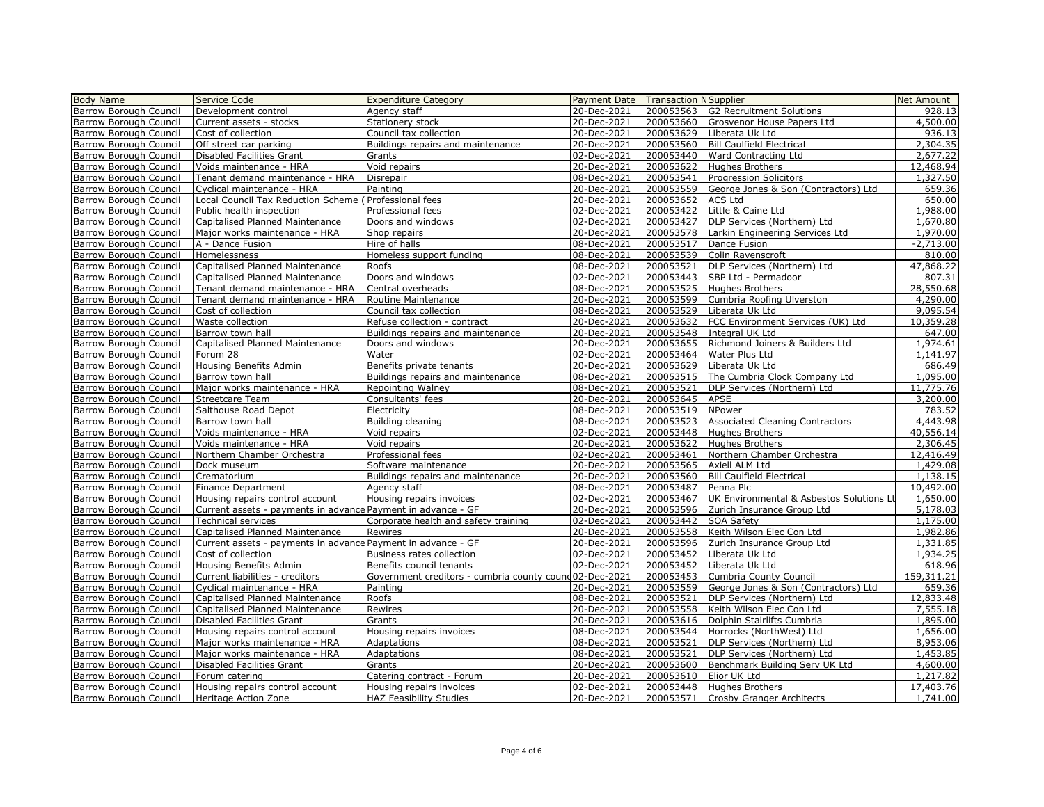| <b>Body Name</b>       | Service Code                                                 | <b>Expenditure Category</b>                             | Payment Date Transaction NSupplier |           |                                          | Net Amount  |
|------------------------|--------------------------------------------------------------|---------------------------------------------------------|------------------------------------|-----------|------------------------------------------|-------------|
| Barrow Borough Council | Development control                                          |                                                         | 20-Dec-2021                        | 200053563 | <b>G2 Recruitment Solutions</b>          | 928.13      |
|                        |                                                              | Agency staff                                            |                                    |           |                                          | 4,500.00    |
| Barrow Borough Council | Current assets - stocks                                      | Stationery stock                                        | 20-Dec-2021                        | 200053660 | Grosvenor House Papers Ltd               |             |
| Barrow Borough Council | Cost of collection                                           | Council tax collection                                  | 20-Dec-2021                        | 200053629 | Liberata Uk Ltd                          | 936.13      |
| Barrow Borough Council | Off street car parking                                       | Buildings repairs and maintenance                       | 20-Dec-2021                        | 200053560 | <b>Bill Caulfield Electrical</b>         | 2,304.35    |
| Barrow Borough Council | Disabled Facilities Grant                                    | Grants                                                  | 02-Dec-2021                        | 200053440 | Ward Contracting Ltd                     | 2,677.22    |
| Barrow Borough Council | Voids maintenance - HRA                                      | Void repairs                                            | 20-Dec-2021                        | 200053622 | <b>Hughes Brothers</b>                   | 12,468.94   |
| Barrow Borough Council | Tenant demand maintenance - HRA                              | Disrepair                                               | 08-Dec-2021                        | 200053541 | <b>Progression Solicitors</b>            | 1,327.50    |
| Barrow Borough Council | Cyclical maintenance - HRA                                   | Painting                                                | 20-Dec-2021                        | 200053559 | George Jones & Son (Contractors) Ltd     | 659.36      |
| Barrow Borough Council | Local Council Tax Reduction Scheme                           | Professional fees                                       | 20-Dec-2021                        | 200053652 | <b>ACS Ltd</b>                           | 650.00      |
| Barrow Borough Council | Public health inspection                                     | Professional fees                                       | 02-Dec-2021                        | 200053422 | Little & Caine Ltd                       | 1,988.00    |
| Barrow Borough Council | Capitalised Planned Maintenance                              | Doors and windows                                       | 02-Dec-2021                        | 200053427 | DLP Services (Northern) Ltd              | 1,670.80    |
| Barrow Borough Council | Major works maintenance - HRA                                | Shop repairs                                            | 20-Dec-2021                        | 200053578 | Larkin Engineering Services Ltd          | 1,970.00    |
| Barrow Borough Council | A - Dance Fusion                                             | Hire of halls                                           | 08-Dec-2021                        | 200053517 | Dance Fusion                             | $-2,713.00$ |
| Barrow Borough Council | Homelessness                                                 | Homeless support funding                                | 08-Dec-2021                        | 200053539 | Colin Ravenscroft                        | 810.00      |
| Barrow Borough Council | Capitalised Planned Maintenance                              | Roofs                                                   | 08-Dec-2021                        | 200053521 | DLP Services (Northern) Ltd              | 47,868.22   |
| Barrow Borough Council | Capitalised Planned Maintenance                              | Doors and windows                                       | 02-Dec-2021                        | 200053443 | SBP Ltd - Permadoor                      | 807.31      |
| Barrow Borough Council | Tenant demand maintenance - HRA                              | Central overheads                                       | 08-Dec-2021                        | 200053525 | <b>Hughes Brothers</b>                   | 28,550.68   |
| Barrow Borough Council | Tenant demand maintenance - HRA                              | Routine Maintenance                                     | 20-Dec-2021                        | 200053599 | Cumbria Roofing Ulverston                | 4,290.00    |
| Barrow Borough Council | Cost of collection                                           | Council tax collection                                  | 08-Dec-2021                        | 200053529 | Liberata Uk Ltd                          | 9,095.54    |
| Barrow Borough Council | Waste collection                                             | Refuse collection - contract                            | 20-Dec-2021                        | 200053632 | FCC Environment Services (UK) Ltd        | 10,359.28   |
| Barrow Borough Council | Barrow town hall                                             | Buildings repairs and maintenance                       | 20-Dec-2021                        | 200053548 | Integral UK Ltd                          | 647.00      |
| Barrow Borough Council | Capitalised Planned Maintenance                              | Doors and windows                                       | 20-Dec-2021                        | 200053655 | Richmond Joiners & Builders Ltd          | 1,974.61    |
| Barrow Borough Council | Forum 28                                                     | Water                                                   | 02-Dec-2021                        | 200053464 | Water Plus Ltd                           | 1,141.97    |
| Barrow Borough Council | Housing Benefits Admin                                       | Benefits private tenants                                | 20-Dec-2021                        | 200053629 | Liberata Uk Ltd                          | 686.49      |
| Barrow Borough Council | Barrow town hall                                             | Buildings repairs and maintenance                       | 08-Dec-2021                        | 200053515 | The Cumbria Clock Company Ltd            | 1,095.00    |
| Barrow Borough Council | Major works maintenance - HRA                                | Repointing Walney                                       | 08-Dec-2021                        | 200053521 | DLP Services (Northern) Ltd              | 11,775.76   |
| Barrow Borough Council | <b>Streetcare Team</b>                                       | Consultants' fees                                       | 20-Dec-2021                        | 200053645 | APSE                                     | 3,200.00    |
| Barrow Borough Council | Salthouse Road Depot                                         | Electricity                                             | 08-Dec-2021                        | 200053519 | NPower                                   | 783.52      |
| Barrow Borough Council | Barrow town hall                                             | Building cleaning                                       | 08-Dec-2021                        | 200053523 | <b>Associated Cleaning Contractors</b>   | 4,443.98    |
| Barrow Borough Council | Voids maintenance - HRA                                      | Void repairs                                            | 02-Dec-2021                        | 200053448 | Hughes Brothers                          | 40,556.14   |
| Barrow Borough Council | Voids maintenance - HRA                                      | Void repairs                                            | 20-Dec-2021                        | 200053622 | <b>Hughes Brothers</b>                   | 2,306.45    |
| Barrow Borough Council | Northern Chamber Orchestra                                   | Professional fees                                       | 02-Dec-2021                        | 200053461 | Northern Chamber Orchestra               | 12,416.49   |
| Barrow Borough Council | Dock museum                                                  | Software maintenance                                    | 20-Dec-2021                        | 200053565 | Axiell ALM Ltd                           | 1,429.08    |
| Barrow Borough Council | Crematorium                                                  | Buildings repairs and maintenance                       | 20-Dec-2021                        | 200053560 | <b>Bill Caulfield Electrical</b>         | 1,138.15    |
| Barrow Borough Council | <b>Finance Department</b>                                    | Agency staff                                            | 08-Dec-2021                        | 200053487 | Penna Plc                                | 10,492.00   |
| Barrow Borough Council | Housing repairs control account                              | Housing repairs invoices                                | 02-Dec-2021                        | 200053467 | UK Environmental & Asbestos Solutions Li | 1,650.00    |
| Barrow Borough Council | Current assets - payments in advance Payment in advance - GF |                                                         | 20-Dec-2021                        | 200053596 | Zurich Insurance Group Ltd               | 5,178.03    |
| Barrow Borough Council | Technical services                                           | Corporate health and safety training                    | 02-Dec-2021                        | 200053442 | SOA Safety                               | 1,175.00    |
| Barrow Borough Council | Capitalised Planned Maintenance                              | Rewires                                                 | 20-Dec-2021                        | 200053558 | Keith Wilson Elec Con Ltd                | 1,982.86    |
| Barrow Borough Council | Current assets - payments in advance Payment in advance - GF |                                                         | 20-Dec-2021                        | 200053596 | Zurich Insurance Group Ltd               | 1,331.85    |
| Barrow Borough Council | Cost of collection                                           | Business rates collection                               | 02-Dec-2021                        | 200053452 | Liberata Uk Ltd                          | 1,934.25    |
| Barrow Borough Council | Housing Benefits Admin                                       | Benefits council tenants                                | 02-Dec-2021                        | 200053452 | Liberata Uk Ltd                          | 618.96      |
| Barrow Borough Council | Current liabilities - creditors                              | Government creditors - cumbria county cound 02-Dec-2021 |                                    | 200053453 | Cumbria County Council                   | 159,311.21  |
| Barrow Borough Council | Cyclical maintenance - HRA                                   | Painting                                                | 20-Dec-2021                        | 200053559 | George Jones & Son (Contractors) Ltd     | 659.36      |
| Barrow Borough Council | Capitalised Planned Maintenance                              | Roofs                                                   | 08-Dec-2021                        | 200053521 | DLP Services (Northern) Ltd              | 12,833.48   |
| Barrow Borough Council | Capitalised Planned Maintenance                              | Rewires                                                 | 20-Dec-2021                        | 200053558 | Keith Wilson Elec Con Ltd                | 7,555.18    |
| Barrow Borough Council | Disabled Facilities Grant                                    | Grants                                                  | 20-Dec-2021                        | 200053616 | Dolphin Stairlifts Cumbria               | 1,895.00    |
| Barrow Borough Council | Housing repairs control account                              | Housing repairs invoices                                | 08-Dec-2021                        | 200053544 | Horrocks (NorthWest) Ltd                 | 1,656.00    |
| Barrow Borough Council | Major works maintenance - HRA                                | Adaptations                                             | 08-Dec-2021                        | 200053521 | DLP Services (Northern) Ltd              | 8,953.06    |
| Barrow Borough Council | Major works maintenance - HRA                                | Adaptations                                             | 08-Dec-2021                        | 200053521 | DLP Services (Northern) Ltd              | 1,453.85    |
| Barrow Borough Council | Disabled Facilities Grant                                    | Grants                                                  | 20-Dec-2021                        | 200053600 | Benchmark Building Serv UK Ltd           | 4,600.00    |
| Barrow Borough Council | Forum catering                                               | Catering contract - Forum                               | 20-Dec-2021                        | 200053610 | Elior UK Ltd                             | 1,217.82    |
| Barrow Borough Council | Housing repairs control account                              | Housing repairs invoices                                | 02-Dec-2021                        | 200053448 | <b>Hughes Brothers</b>                   | 17,403.76   |
| Barrow Borough Council | Heritage Action Zone                                         | HAZ Feasibility Studies                                 | 20-Dec-2021                        | 200053571 | Crosby Granger Architects                | 1,741.00    |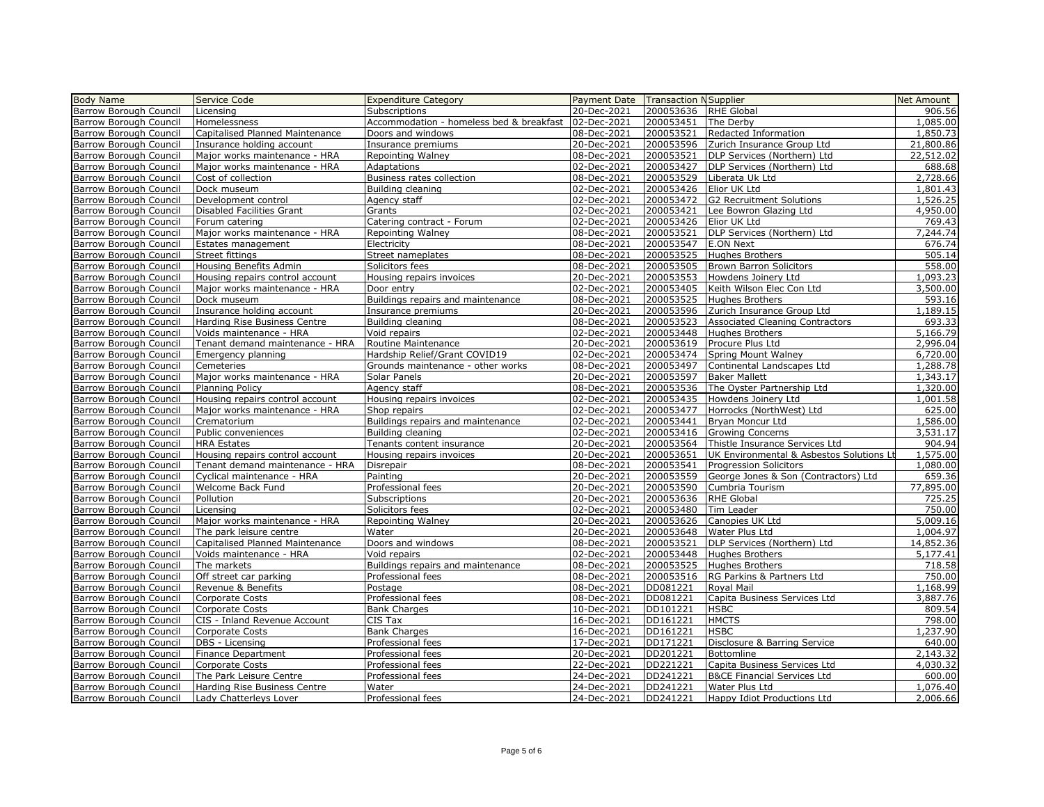| Payment Date Transaction NSupplier<br>Barrow Borough Council<br>20-Dec-2021<br>200053636<br><b>RHE Global</b><br>906.56<br>Licensing<br><b>Subscriptions</b><br><b>Barrow Borough Council</b><br>1,085.00<br>Accommodation - homeless bed & breakfast   02-Dec-2021<br>200053451<br>The Derby<br>Homelessness<br>Capitalised Planned Maintenance<br>08-Dec-2021<br>200053521<br>Redacted Information<br>1,850.73<br>Barrow Borough Council<br>Doors and windows<br>Barrow Borough Council<br>20-Dec-2021<br>200053596<br>21,800.86<br>Insurance holding account<br>Insurance premiums<br>Zurich Insurance Group Ltd<br><b>Barrow Borough Council</b><br>08-Dec-2021<br>200053521<br>DLP Services (Northern) Ltd<br>22,512.02<br>Major works maintenance - HRA<br>Repointing Walney<br>02-Dec-2021<br>688.68<br>Barrow Borough Council<br>Major works maintenance - HRA<br>Adaptations<br>200053427<br>DLP Services (Northern) Ltd<br>200053529<br>Barrow Borough Council<br>Business rates collection<br>08-Dec-2021<br>Liberata Uk Ltd<br>2,728.66<br>Cost of collection<br>Barrow Borough Council<br>02-Dec-2021<br>200053426<br>Dock museum<br>Elior UK Ltd<br>1,801.43<br>Building cleaning<br><b>Barrow Borough Council</b><br>Development control<br>Agency staff<br>02-Dec-2021<br>200053472<br><b>G2 Recruitment Solutions</b><br>1,526.25<br>02-Dec-2021<br>200053421<br>4,950.00<br>Barrow Borough Council<br>Disabled Facilities Grant<br>Grants<br>Lee Bowron Glazing Ltd<br>Barrow Borough Council<br>02-Dec-2021<br>200053426<br>769.43<br>Elior UK Ltd<br>Forum catering<br>Catering contract - Forum<br>Barrow Borough Council<br>Major works maintenance - HRA<br>08-Dec-2021<br>200053521<br>DLP Services (Northern) Ltd<br>7,244.74<br>Repointing Walney<br>676.74<br>08-Dec-2021<br>200053547<br><b>E.ON Next</b><br>Barrow Borough Council<br>Electricity<br>Estates management<br>505.14<br>Barrow Borough Council<br>Street nameplates<br>08-Dec-2021<br>200053525<br><b>Hughes Brothers</b><br>Street fittings<br>200053505<br>558.00<br>Barrow Borough Council<br>Housing Benefits Admin<br>Solicitors fees<br>08-Dec-2021<br><b>Brown Barron Solicitors</b><br><b>Barrow Borough Council</b><br>200053553<br>1,093.23<br>Housing repairs control account<br>20-Dec-2021<br>Howdens Joinery Ltd<br>Housing repairs invoices<br>Major works maintenance - HRA<br>02-Dec-2021<br>200053405<br>Keith Wilson Elec Con Ltd<br>3,500.00<br>Barrow Borough Council<br>Door entry<br>Barrow Borough Council<br>200053525<br>593.16<br>Dock museum<br>Buildings repairs and maintenance<br>08-Dec-2021<br><b>Hughes Brothers</b><br><b>Barrow Borough Council</b><br>Insurance holding account<br>20-Dec-2021<br>200053596<br>Zurich Insurance Group Ltd<br>1,189.15<br>Insurance premiums<br>08-Dec-2021<br>200053523<br><b>Associated Cleaning Contractors</b><br>693.33<br>Barrow Borough Council<br>Harding Rise Business Centre<br>Building cleaning<br>200053448<br>5,166.79<br><b>Barrow Borough Council</b><br>Voids maintenance - HRA<br>02-Dec-2021<br><b>Hughes Brothers</b><br>Void repairs<br>20-Dec-2021<br>200053619<br>2,996.04<br><b>Barrow Borough Council</b><br>Tenant demand maintenance - HRA<br>Routine Maintenance<br>Procure Plus Ltd<br><b>Barrow Borough Council</b><br>Hardship Relief/Grant COVID19<br>02-Dec-2021<br>200053474<br>Spring Mount Walney<br>Emergency planning<br>6,720.00<br>200053497<br>Cemeteries<br>Grounds maintenance - other works<br>08-Dec-2021<br>Continental Landscapes Ltd<br>1,288.78<br>20-Dec-2021<br>200053597<br>1,343.17<br>Major works maintenance - HRA<br>Solar Panels<br><b>Baker Mallett</b><br>08-Dec-2021<br>200053536<br>The Oyster Partnership Ltd<br>1,320.00<br><b>Planning Policy</b><br>Agency staff<br>Housing repairs control account<br>02-Dec-2021<br>200053435<br>1,001.58<br>Barrow Borough Council<br>Housing repairs invoices<br>Howdens Joinery Ltd<br><b>Barrow Borough Council</b><br>200053477<br>625.00<br>Major works maintenance - HRA<br>02-Dec-2021<br>Horrocks (NorthWest) Ltd<br>Shop repairs<br>Buildings repairs and maintenance<br>02-Dec-2021<br>200053441<br>Bryan Moncur Ltd<br>1,586.00<br>Crematorium<br><b>Barrow Borough Council</b><br>200053416<br>3,531.17<br>Public conveniences<br>Building cleaning<br>02-Dec-2021<br><b>Growing Concerns</b><br>20-Dec-2021<br>200053564<br>904.94<br><b>HRA Estates</b><br>Tenants content insurance<br>Thistle Insurance Services Ltd<br><b>Barrow Borough Council</b><br>20-Dec-2021<br>200053651<br>1,575.00<br>Housing repairs control account<br>UK Environmental & Asbestos Solutions Lt<br>Housing repairs invoices<br><b>Barrow Borough Council</b><br>Tenant demand maintenance - HRA<br>08-Dec-2021<br>200053541<br>1,080.00<br>Disrepair<br><b>Progression Solicitors</b><br>20-Dec-2021<br>200053559<br>George Jones & Son (Contractors) Ltd<br>659.36<br>Barrow Borough Council<br>Cyclical maintenance - HRA<br>Painting<br><b>Barrow Borough Council</b><br>20-Dec-2021<br>200053590<br>77,895.00<br>Welcome Back Fund<br>Professional fees<br>Cumbria Tourism<br>Barrow Borough Council<br>Pollution<br>20-Dec-2021<br>200053636<br><b>RHE Global</b><br>725.25<br>Subscriptions<br>750.00<br><b>Barrow Borough Council</b><br>02-Dec-2021<br>200053480<br>Tim Leader<br>Licensing<br>Solicitors fees<br>20-Dec-2021<br>200053626<br>Barrow Borough Council<br>Major works maintenance - HRA<br><b>Repointing Walney</b><br>Canopies UK Ltd<br>5,009.16<br>Barrow Borough Council<br>The park leisure centre<br>Water<br>20-Dec-2021<br>200053648<br>Water Plus Ltd<br>1,004.97<br><b>Barrow Borough Council</b><br>Capitalised Planned Maintenance<br>Doors and windows<br>08-Dec-2021<br>200053521<br>DLP Services (Northern) Ltd<br>14,852.36<br>02-Dec-2021<br>200053448<br>5,177.41<br>Barrow Borough Council<br>Voids maintenance - HRA<br>Void repairs<br><b>Hughes Brothers</b><br><b>Barrow Borough Council</b><br>200053525<br>718.58<br>The markets<br>Buildings repairs and maintenance<br>08-Dec-2021<br>Hughes Brothers<br>200053516<br>RG Parkins & Partners Ltd<br>750.00<br>Barrow Borough Council<br>Off street car parking<br>Professional fees<br>08-Dec-2021<br>08-Dec-2021<br>1,168.99<br>Barrow Borough Council<br>Revenue & Benefits<br>Postage<br>DD081221<br>Royal Mail<br>08-Dec-2021<br>DD081221<br>Capita Business Services Ltd<br>3,887.76<br>Barrow Borough Council<br>Corporate Costs<br>Professional fees<br>10-Dec-2021<br>809.54<br>Barrow Borough Council<br>Corporate Costs<br><b>Bank Charges</b><br>DD101221<br><b>HSBC</b><br><b>Barrow Borough Council</b><br>CIS - Inland Revenue Account<br>CIS Tax<br>16-Dec-2021<br>DD161221<br><b>HMCTS</b><br>798.00<br>16-Dec-2021<br>DD161221<br>1,237.90<br>Barrow Borough Council<br><b>Corporate Costs</b><br><b>Bank Charges</b><br><b>HSBC</b><br>Barrow Borough Council<br>17-Dec-2021<br>DD171221<br>640.00<br>DBS - Licensing<br>Professional fees<br>Disclosure & Barring Service<br><b>Barrow Borough Council</b><br>2,143.32<br>Finance Department<br>Professional fees<br>20-Dec-2021<br>DD201221<br>Bottomline<br>22-Dec-2021<br>DD221221<br>Capita Business Services Ltd<br>4,030.32<br>Barrow Borough Council<br>Corporate Costs<br>Professional fees<br>Barrow Borough Council<br>24-Dec-2021<br>DD241221<br><b>B&amp;CE Financial Services Ltd</b><br>600.00<br>The Park Leisure Centre<br>Professional fees<br><b>Barrow Borough Council</b><br>24-Dec-2021<br>DD241221<br>1,076.40<br>Harding Rise Business Centre<br>Water<br>Water Plus Ltd<br>Barrow Borough Council<br>2,006.66<br>Lady Chatterleys Lover<br>Professional fees<br>24-Dec-2021<br>DD241221<br>Happy Idiot Productions Ltd | <b>Body Name</b>              | Service Code | <b>Expenditure Category</b> |  | <b>Net Amount</b> |
|----------------------------------------------------------------------------------------------------------------------------------------------------------------------------------------------------------------------------------------------------------------------------------------------------------------------------------------------------------------------------------------------------------------------------------------------------------------------------------------------------------------------------------------------------------------------------------------------------------------------------------------------------------------------------------------------------------------------------------------------------------------------------------------------------------------------------------------------------------------------------------------------------------------------------------------------------------------------------------------------------------------------------------------------------------------------------------------------------------------------------------------------------------------------------------------------------------------------------------------------------------------------------------------------------------------------------------------------------------------------------------------------------------------------------------------------------------------------------------------------------------------------------------------------------------------------------------------------------------------------------------------------------------------------------------------------------------------------------------------------------------------------------------------------------------------------------------------------------------------------------------------------------------------------------------------------------------------------------------------------------------------------------------------------------------------------------------------------------------------------------------------------------------------------------------------------------------------------------------------------------------------------------------------------------------------------------------------------------------------------------------------------------------------------------------------------------------------------------------------------------------------------------------------------------------------------------------------------------------------------------------------------------------------------------------------------------------------------------------------------------------------------------------------------------------------------------------------------------------------------------------------------------------------------------------------------------------------------------------------------------------------------------------------------------------------------------------------------------------------------------------------------------------------------------------------------------------------------------------------------------------------------------------------------------------------------------------------------------------------------------------------------------------------------------------------------------------------------------------------------------------------------------------------------------------------------------------------------------------------------------------------------------------------------------------------------------------------------------------------------------------------------------------------------------------------------------------------------------------------------------------------------------------------------------------------------------------------------------------------------------------------------------------------------------------------------------------------------------------------------------------------------------------------------------------------------------------------------------------------------------------------------------------------------------------------------------------------------------------------------------------------------------------------------------------------------------------------------------------------------------------------------------------------------------------------------------------------------------------------------------------------------------------------------------------------------------------------------------------------------------------------------------------------------------------------------------------------------------------------------------------------------------------------------------------------------------------------------------------------------------------------------------------------------------------------------------------------------------------------------------------------------------------------------------------------------------------------------------------------------------------------------------------------------------------------------------------------------------------------------------------------------------------------------------------------------------------------------------------------------------------------------------------------------------------------------------------------------------------------------------------------------------------------------------------------------------------------------------------------------------------------------------------------------------------------------------------------------------------------------------------------------------------------------------------------------------------------------------------------------------------------------------------------------------------------------------------------------------------------------------------------------------------------------------------------------------------------------------------------------------------------------------------------------------------------------------------------------------------------------------------------------------------------------------------------------------------------------------------------------------------------------------------------------------------------------------------------------------------------------------------------------------------------------------------------------------------------------------------------------------------------------------------------------------------------------------------------------------------------------------------------------------------------------------------------------------------------------------------------------------------------------------------------------------------------------------------------------------------------------------------------------------------------------------------------------------------------------------------------------------------------------------------------------------------------------------------------------------------------------------------------------------------------------------------------------------------------------------------------------------------------------------------------------------------------------------------------------------------------------------------------------------------------------------------------------------------------------------------------------------------------------------------|-------------------------------|--------------|-----------------------------|--|-------------------|
|                                                                                                                                                                                                                                                                                                                                                                                                                                                                                                                                                                                                                                                                                                                                                                                                                                                                                                                                                                                                                                                                                                                                                                                                                                                                                                                                                                                                                                                                                                                                                                                                                                                                                                                                                                                                                                                                                                                                                                                                                                                                                                                                                                                                                                                                                                                                                                                                                                                                                                                                                                                                                                                                                                                                                                                                                                                                                                                                                                                                                                                                                                                                                                                                                                                                                                                                                                                                                                                                                                                                                                                                                                                                                                                                                                                                                                                                                                                                                                                                                                                                                                                                                                                                                                                                                                                                                                                                                                                                                                                                                                                                                                                                                                                                                                                                                                                                                                                                                                                                                                                                                                                                                                                                                                                                                                                                                                                                                                                                                                                                                                                                                                                                                                                                                                                                                                                                                                                                                                                                                                                                                                                                                                                                                                                                                                                                                                                                                                                                                                                                                                                                                                                                                                                                                                                                                                                                                                                                                                                                                                                                                                                                                                                                                                                                                                                                                                                                                                                                                                                                                                                                                                                                                                                                                                                  |                               |              |                             |  |                   |
|                                                                                                                                                                                                                                                                                                                                                                                                                                                                                                                                                                                                                                                                                                                                                                                                                                                                                                                                                                                                                                                                                                                                                                                                                                                                                                                                                                                                                                                                                                                                                                                                                                                                                                                                                                                                                                                                                                                                                                                                                                                                                                                                                                                                                                                                                                                                                                                                                                                                                                                                                                                                                                                                                                                                                                                                                                                                                                                                                                                                                                                                                                                                                                                                                                                                                                                                                                                                                                                                                                                                                                                                                                                                                                                                                                                                                                                                                                                                                                                                                                                                                                                                                                                                                                                                                                                                                                                                                                                                                                                                                                                                                                                                                                                                                                                                                                                                                                                                                                                                                                                                                                                                                                                                                                                                                                                                                                                                                                                                                                                                                                                                                                                                                                                                                                                                                                                                                                                                                                                                                                                                                                                                                                                                                                                                                                                                                                                                                                                                                                                                                                                                                                                                                                                                                                                                                                                                                                                                                                                                                                                                                                                                                                                                                                                                                                                                                                                                                                                                                                                                                                                                                                                                                                                                                                                  |                               |              |                             |  |                   |
|                                                                                                                                                                                                                                                                                                                                                                                                                                                                                                                                                                                                                                                                                                                                                                                                                                                                                                                                                                                                                                                                                                                                                                                                                                                                                                                                                                                                                                                                                                                                                                                                                                                                                                                                                                                                                                                                                                                                                                                                                                                                                                                                                                                                                                                                                                                                                                                                                                                                                                                                                                                                                                                                                                                                                                                                                                                                                                                                                                                                                                                                                                                                                                                                                                                                                                                                                                                                                                                                                                                                                                                                                                                                                                                                                                                                                                                                                                                                                                                                                                                                                                                                                                                                                                                                                                                                                                                                                                                                                                                                                                                                                                                                                                                                                                                                                                                                                                                                                                                                                                                                                                                                                                                                                                                                                                                                                                                                                                                                                                                                                                                                                                                                                                                                                                                                                                                                                                                                                                                                                                                                                                                                                                                                                                                                                                                                                                                                                                                                                                                                                                                                                                                                                                                                                                                                                                                                                                                                                                                                                                                                                                                                                                                                                                                                                                                                                                                                                                                                                                                                                                                                                                                                                                                                                                                  |                               |              |                             |  |                   |
|                                                                                                                                                                                                                                                                                                                                                                                                                                                                                                                                                                                                                                                                                                                                                                                                                                                                                                                                                                                                                                                                                                                                                                                                                                                                                                                                                                                                                                                                                                                                                                                                                                                                                                                                                                                                                                                                                                                                                                                                                                                                                                                                                                                                                                                                                                                                                                                                                                                                                                                                                                                                                                                                                                                                                                                                                                                                                                                                                                                                                                                                                                                                                                                                                                                                                                                                                                                                                                                                                                                                                                                                                                                                                                                                                                                                                                                                                                                                                                                                                                                                                                                                                                                                                                                                                                                                                                                                                                                                                                                                                                                                                                                                                                                                                                                                                                                                                                                                                                                                                                                                                                                                                                                                                                                                                                                                                                                                                                                                                                                                                                                                                                                                                                                                                                                                                                                                                                                                                                                                                                                                                                                                                                                                                                                                                                                                                                                                                                                                                                                                                                                                                                                                                                                                                                                                                                                                                                                                                                                                                                                                                                                                                                                                                                                                                                                                                                                                                                                                                                                                                                                                                                                                                                                                                                                  |                               |              |                             |  |                   |
|                                                                                                                                                                                                                                                                                                                                                                                                                                                                                                                                                                                                                                                                                                                                                                                                                                                                                                                                                                                                                                                                                                                                                                                                                                                                                                                                                                                                                                                                                                                                                                                                                                                                                                                                                                                                                                                                                                                                                                                                                                                                                                                                                                                                                                                                                                                                                                                                                                                                                                                                                                                                                                                                                                                                                                                                                                                                                                                                                                                                                                                                                                                                                                                                                                                                                                                                                                                                                                                                                                                                                                                                                                                                                                                                                                                                                                                                                                                                                                                                                                                                                                                                                                                                                                                                                                                                                                                                                                                                                                                                                                                                                                                                                                                                                                                                                                                                                                                                                                                                                                                                                                                                                                                                                                                                                                                                                                                                                                                                                                                                                                                                                                                                                                                                                                                                                                                                                                                                                                                                                                                                                                                                                                                                                                                                                                                                                                                                                                                                                                                                                                                                                                                                                                                                                                                                                                                                                                                                                                                                                                                                                                                                                                                                                                                                                                                                                                                                                                                                                                                                                                                                                                                                                                                                                                                  |                               |              |                             |  |                   |
|                                                                                                                                                                                                                                                                                                                                                                                                                                                                                                                                                                                                                                                                                                                                                                                                                                                                                                                                                                                                                                                                                                                                                                                                                                                                                                                                                                                                                                                                                                                                                                                                                                                                                                                                                                                                                                                                                                                                                                                                                                                                                                                                                                                                                                                                                                                                                                                                                                                                                                                                                                                                                                                                                                                                                                                                                                                                                                                                                                                                                                                                                                                                                                                                                                                                                                                                                                                                                                                                                                                                                                                                                                                                                                                                                                                                                                                                                                                                                                                                                                                                                                                                                                                                                                                                                                                                                                                                                                                                                                                                                                                                                                                                                                                                                                                                                                                                                                                                                                                                                                                                                                                                                                                                                                                                                                                                                                                                                                                                                                                                                                                                                                                                                                                                                                                                                                                                                                                                                                                                                                                                                                                                                                                                                                                                                                                                                                                                                                                                                                                                                                                                                                                                                                                                                                                                                                                                                                                                                                                                                                                                                                                                                                                                                                                                                                                                                                                                                                                                                                                                                                                                                                                                                                                                                                                  |                               |              |                             |  |                   |
|                                                                                                                                                                                                                                                                                                                                                                                                                                                                                                                                                                                                                                                                                                                                                                                                                                                                                                                                                                                                                                                                                                                                                                                                                                                                                                                                                                                                                                                                                                                                                                                                                                                                                                                                                                                                                                                                                                                                                                                                                                                                                                                                                                                                                                                                                                                                                                                                                                                                                                                                                                                                                                                                                                                                                                                                                                                                                                                                                                                                                                                                                                                                                                                                                                                                                                                                                                                                                                                                                                                                                                                                                                                                                                                                                                                                                                                                                                                                                                                                                                                                                                                                                                                                                                                                                                                                                                                                                                                                                                                                                                                                                                                                                                                                                                                                                                                                                                                                                                                                                                                                                                                                                                                                                                                                                                                                                                                                                                                                                                                                                                                                                                                                                                                                                                                                                                                                                                                                                                                                                                                                                                                                                                                                                                                                                                                                                                                                                                                                                                                                                                                                                                                                                                                                                                                                                                                                                                                                                                                                                                                                                                                                                                                                                                                                                                                                                                                                                                                                                                                                                                                                                                                                                                                                                                                  |                               |              |                             |  |                   |
|                                                                                                                                                                                                                                                                                                                                                                                                                                                                                                                                                                                                                                                                                                                                                                                                                                                                                                                                                                                                                                                                                                                                                                                                                                                                                                                                                                                                                                                                                                                                                                                                                                                                                                                                                                                                                                                                                                                                                                                                                                                                                                                                                                                                                                                                                                                                                                                                                                                                                                                                                                                                                                                                                                                                                                                                                                                                                                                                                                                                                                                                                                                                                                                                                                                                                                                                                                                                                                                                                                                                                                                                                                                                                                                                                                                                                                                                                                                                                                                                                                                                                                                                                                                                                                                                                                                                                                                                                                                                                                                                                                                                                                                                                                                                                                                                                                                                                                                                                                                                                                                                                                                                                                                                                                                                                                                                                                                                                                                                                                                                                                                                                                                                                                                                                                                                                                                                                                                                                                                                                                                                                                                                                                                                                                                                                                                                                                                                                                                                                                                                                                                                                                                                                                                                                                                                                                                                                                                                                                                                                                                                                                                                                                                                                                                                                                                                                                                                                                                                                                                                                                                                                                                                                                                                                                                  |                               |              |                             |  |                   |
|                                                                                                                                                                                                                                                                                                                                                                                                                                                                                                                                                                                                                                                                                                                                                                                                                                                                                                                                                                                                                                                                                                                                                                                                                                                                                                                                                                                                                                                                                                                                                                                                                                                                                                                                                                                                                                                                                                                                                                                                                                                                                                                                                                                                                                                                                                                                                                                                                                                                                                                                                                                                                                                                                                                                                                                                                                                                                                                                                                                                                                                                                                                                                                                                                                                                                                                                                                                                                                                                                                                                                                                                                                                                                                                                                                                                                                                                                                                                                                                                                                                                                                                                                                                                                                                                                                                                                                                                                                                                                                                                                                                                                                                                                                                                                                                                                                                                                                                                                                                                                                                                                                                                                                                                                                                                                                                                                                                                                                                                                                                                                                                                                                                                                                                                                                                                                                                                                                                                                                                                                                                                                                                                                                                                                                                                                                                                                                                                                                                                                                                                                                                                                                                                                                                                                                                                                                                                                                                                                                                                                                                                                                                                                                                                                                                                                                                                                                                                                                                                                                                                                                                                                                                                                                                                                                                  |                               |              |                             |  |                   |
|                                                                                                                                                                                                                                                                                                                                                                                                                                                                                                                                                                                                                                                                                                                                                                                                                                                                                                                                                                                                                                                                                                                                                                                                                                                                                                                                                                                                                                                                                                                                                                                                                                                                                                                                                                                                                                                                                                                                                                                                                                                                                                                                                                                                                                                                                                                                                                                                                                                                                                                                                                                                                                                                                                                                                                                                                                                                                                                                                                                                                                                                                                                                                                                                                                                                                                                                                                                                                                                                                                                                                                                                                                                                                                                                                                                                                                                                                                                                                                                                                                                                                                                                                                                                                                                                                                                                                                                                                                                                                                                                                                                                                                                                                                                                                                                                                                                                                                                                                                                                                                                                                                                                                                                                                                                                                                                                                                                                                                                                                                                                                                                                                                                                                                                                                                                                                                                                                                                                                                                                                                                                                                                                                                                                                                                                                                                                                                                                                                                                                                                                                                                                                                                                                                                                                                                                                                                                                                                                                                                                                                                                                                                                                                                                                                                                                                                                                                                                                                                                                                                                                                                                                                                                                                                                                                                  |                               |              |                             |  |                   |
|                                                                                                                                                                                                                                                                                                                                                                                                                                                                                                                                                                                                                                                                                                                                                                                                                                                                                                                                                                                                                                                                                                                                                                                                                                                                                                                                                                                                                                                                                                                                                                                                                                                                                                                                                                                                                                                                                                                                                                                                                                                                                                                                                                                                                                                                                                                                                                                                                                                                                                                                                                                                                                                                                                                                                                                                                                                                                                                                                                                                                                                                                                                                                                                                                                                                                                                                                                                                                                                                                                                                                                                                                                                                                                                                                                                                                                                                                                                                                                                                                                                                                                                                                                                                                                                                                                                                                                                                                                                                                                                                                                                                                                                                                                                                                                                                                                                                                                                                                                                                                                                                                                                                                                                                                                                                                                                                                                                                                                                                                                                                                                                                                                                                                                                                                                                                                                                                                                                                                                                                                                                                                                                                                                                                                                                                                                                                                                                                                                                                                                                                                                                                                                                                                                                                                                                                                                                                                                                                                                                                                                                                                                                                                                                                                                                                                                                                                                                                                                                                                                                                                                                                                                                                                                                                                                                  |                               |              |                             |  |                   |
|                                                                                                                                                                                                                                                                                                                                                                                                                                                                                                                                                                                                                                                                                                                                                                                                                                                                                                                                                                                                                                                                                                                                                                                                                                                                                                                                                                                                                                                                                                                                                                                                                                                                                                                                                                                                                                                                                                                                                                                                                                                                                                                                                                                                                                                                                                                                                                                                                                                                                                                                                                                                                                                                                                                                                                                                                                                                                                                                                                                                                                                                                                                                                                                                                                                                                                                                                                                                                                                                                                                                                                                                                                                                                                                                                                                                                                                                                                                                                                                                                                                                                                                                                                                                                                                                                                                                                                                                                                                                                                                                                                                                                                                                                                                                                                                                                                                                                                                                                                                                                                                                                                                                                                                                                                                                                                                                                                                                                                                                                                                                                                                                                                                                                                                                                                                                                                                                                                                                                                                                                                                                                                                                                                                                                                                                                                                                                                                                                                                                                                                                                                                                                                                                                                                                                                                                                                                                                                                                                                                                                                                                                                                                                                                                                                                                                                                                                                                                                                                                                                                                                                                                                                                                                                                                                                                  |                               |              |                             |  |                   |
|                                                                                                                                                                                                                                                                                                                                                                                                                                                                                                                                                                                                                                                                                                                                                                                                                                                                                                                                                                                                                                                                                                                                                                                                                                                                                                                                                                                                                                                                                                                                                                                                                                                                                                                                                                                                                                                                                                                                                                                                                                                                                                                                                                                                                                                                                                                                                                                                                                                                                                                                                                                                                                                                                                                                                                                                                                                                                                                                                                                                                                                                                                                                                                                                                                                                                                                                                                                                                                                                                                                                                                                                                                                                                                                                                                                                                                                                                                                                                                                                                                                                                                                                                                                                                                                                                                                                                                                                                                                                                                                                                                                                                                                                                                                                                                                                                                                                                                                                                                                                                                                                                                                                                                                                                                                                                                                                                                                                                                                                                                                                                                                                                                                                                                                                                                                                                                                                                                                                                                                                                                                                                                                                                                                                                                                                                                                                                                                                                                                                                                                                                                                                                                                                                                                                                                                                                                                                                                                                                                                                                                                                                                                                                                                                                                                                                                                                                                                                                                                                                                                                                                                                                                                                                                                                                                                  |                               |              |                             |  |                   |
|                                                                                                                                                                                                                                                                                                                                                                                                                                                                                                                                                                                                                                                                                                                                                                                                                                                                                                                                                                                                                                                                                                                                                                                                                                                                                                                                                                                                                                                                                                                                                                                                                                                                                                                                                                                                                                                                                                                                                                                                                                                                                                                                                                                                                                                                                                                                                                                                                                                                                                                                                                                                                                                                                                                                                                                                                                                                                                                                                                                                                                                                                                                                                                                                                                                                                                                                                                                                                                                                                                                                                                                                                                                                                                                                                                                                                                                                                                                                                                                                                                                                                                                                                                                                                                                                                                                                                                                                                                                                                                                                                                                                                                                                                                                                                                                                                                                                                                                                                                                                                                                                                                                                                                                                                                                                                                                                                                                                                                                                                                                                                                                                                                                                                                                                                                                                                                                                                                                                                                                                                                                                                                                                                                                                                                                                                                                                                                                                                                                                                                                                                                                                                                                                                                                                                                                                                                                                                                                                                                                                                                                                                                                                                                                                                                                                                                                                                                                                                                                                                                                                                                                                                                                                                                                                                                                  |                               |              |                             |  |                   |
|                                                                                                                                                                                                                                                                                                                                                                                                                                                                                                                                                                                                                                                                                                                                                                                                                                                                                                                                                                                                                                                                                                                                                                                                                                                                                                                                                                                                                                                                                                                                                                                                                                                                                                                                                                                                                                                                                                                                                                                                                                                                                                                                                                                                                                                                                                                                                                                                                                                                                                                                                                                                                                                                                                                                                                                                                                                                                                                                                                                                                                                                                                                                                                                                                                                                                                                                                                                                                                                                                                                                                                                                                                                                                                                                                                                                                                                                                                                                                                                                                                                                                                                                                                                                                                                                                                                                                                                                                                                                                                                                                                                                                                                                                                                                                                                                                                                                                                                                                                                                                                                                                                                                                                                                                                                                                                                                                                                                                                                                                                                                                                                                                                                                                                                                                                                                                                                                                                                                                                                                                                                                                                                                                                                                                                                                                                                                                                                                                                                                                                                                                                                                                                                                                                                                                                                                                                                                                                                                                                                                                                                                                                                                                                                                                                                                                                                                                                                                                                                                                                                                                                                                                                                                                                                                                                                  |                               |              |                             |  |                   |
|                                                                                                                                                                                                                                                                                                                                                                                                                                                                                                                                                                                                                                                                                                                                                                                                                                                                                                                                                                                                                                                                                                                                                                                                                                                                                                                                                                                                                                                                                                                                                                                                                                                                                                                                                                                                                                                                                                                                                                                                                                                                                                                                                                                                                                                                                                                                                                                                                                                                                                                                                                                                                                                                                                                                                                                                                                                                                                                                                                                                                                                                                                                                                                                                                                                                                                                                                                                                                                                                                                                                                                                                                                                                                                                                                                                                                                                                                                                                                                                                                                                                                                                                                                                                                                                                                                                                                                                                                                                                                                                                                                                                                                                                                                                                                                                                                                                                                                                                                                                                                                                                                                                                                                                                                                                                                                                                                                                                                                                                                                                                                                                                                                                                                                                                                                                                                                                                                                                                                                                                                                                                                                                                                                                                                                                                                                                                                                                                                                                                                                                                                                                                                                                                                                                                                                                                                                                                                                                                                                                                                                                                                                                                                                                                                                                                                                                                                                                                                                                                                                                                                                                                                                                                                                                                                                                  |                               |              |                             |  |                   |
|                                                                                                                                                                                                                                                                                                                                                                                                                                                                                                                                                                                                                                                                                                                                                                                                                                                                                                                                                                                                                                                                                                                                                                                                                                                                                                                                                                                                                                                                                                                                                                                                                                                                                                                                                                                                                                                                                                                                                                                                                                                                                                                                                                                                                                                                                                                                                                                                                                                                                                                                                                                                                                                                                                                                                                                                                                                                                                                                                                                                                                                                                                                                                                                                                                                                                                                                                                                                                                                                                                                                                                                                                                                                                                                                                                                                                                                                                                                                                                                                                                                                                                                                                                                                                                                                                                                                                                                                                                                                                                                                                                                                                                                                                                                                                                                                                                                                                                                                                                                                                                                                                                                                                                                                                                                                                                                                                                                                                                                                                                                                                                                                                                                                                                                                                                                                                                                                                                                                                                                                                                                                                                                                                                                                                                                                                                                                                                                                                                                                                                                                                                                                                                                                                                                                                                                                                                                                                                                                                                                                                                                                                                                                                                                                                                                                                                                                                                                                                                                                                                                                                                                                                                                                                                                                                                                  |                               |              |                             |  |                   |
|                                                                                                                                                                                                                                                                                                                                                                                                                                                                                                                                                                                                                                                                                                                                                                                                                                                                                                                                                                                                                                                                                                                                                                                                                                                                                                                                                                                                                                                                                                                                                                                                                                                                                                                                                                                                                                                                                                                                                                                                                                                                                                                                                                                                                                                                                                                                                                                                                                                                                                                                                                                                                                                                                                                                                                                                                                                                                                                                                                                                                                                                                                                                                                                                                                                                                                                                                                                                                                                                                                                                                                                                                                                                                                                                                                                                                                                                                                                                                                                                                                                                                                                                                                                                                                                                                                                                                                                                                                                                                                                                                                                                                                                                                                                                                                                                                                                                                                                                                                                                                                                                                                                                                                                                                                                                                                                                                                                                                                                                                                                                                                                                                                                                                                                                                                                                                                                                                                                                                                                                                                                                                                                                                                                                                                                                                                                                                                                                                                                                                                                                                                                                                                                                                                                                                                                                                                                                                                                                                                                                                                                                                                                                                                                                                                                                                                                                                                                                                                                                                                                                                                                                                                                                                                                                                                                  |                               |              |                             |  |                   |
|                                                                                                                                                                                                                                                                                                                                                                                                                                                                                                                                                                                                                                                                                                                                                                                                                                                                                                                                                                                                                                                                                                                                                                                                                                                                                                                                                                                                                                                                                                                                                                                                                                                                                                                                                                                                                                                                                                                                                                                                                                                                                                                                                                                                                                                                                                                                                                                                                                                                                                                                                                                                                                                                                                                                                                                                                                                                                                                                                                                                                                                                                                                                                                                                                                                                                                                                                                                                                                                                                                                                                                                                                                                                                                                                                                                                                                                                                                                                                                                                                                                                                                                                                                                                                                                                                                                                                                                                                                                                                                                                                                                                                                                                                                                                                                                                                                                                                                                                                                                                                                                                                                                                                                                                                                                                                                                                                                                                                                                                                                                                                                                                                                                                                                                                                                                                                                                                                                                                                                                                                                                                                                                                                                                                                                                                                                                                                                                                                                                                                                                                                                                                                                                                                                                                                                                                                                                                                                                                                                                                                                                                                                                                                                                                                                                                                                                                                                                                                                                                                                                                                                                                                                                                                                                                                                                  |                               |              |                             |  |                   |
|                                                                                                                                                                                                                                                                                                                                                                                                                                                                                                                                                                                                                                                                                                                                                                                                                                                                                                                                                                                                                                                                                                                                                                                                                                                                                                                                                                                                                                                                                                                                                                                                                                                                                                                                                                                                                                                                                                                                                                                                                                                                                                                                                                                                                                                                                                                                                                                                                                                                                                                                                                                                                                                                                                                                                                                                                                                                                                                                                                                                                                                                                                                                                                                                                                                                                                                                                                                                                                                                                                                                                                                                                                                                                                                                                                                                                                                                                                                                                                                                                                                                                                                                                                                                                                                                                                                                                                                                                                                                                                                                                                                                                                                                                                                                                                                                                                                                                                                                                                                                                                                                                                                                                                                                                                                                                                                                                                                                                                                                                                                                                                                                                                                                                                                                                                                                                                                                                                                                                                                                                                                                                                                                                                                                                                                                                                                                                                                                                                                                                                                                                                                                                                                                                                                                                                                                                                                                                                                                                                                                                                                                                                                                                                                                                                                                                                                                                                                                                                                                                                                                                                                                                                                                                                                                                                                  |                               |              |                             |  |                   |
|                                                                                                                                                                                                                                                                                                                                                                                                                                                                                                                                                                                                                                                                                                                                                                                                                                                                                                                                                                                                                                                                                                                                                                                                                                                                                                                                                                                                                                                                                                                                                                                                                                                                                                                                                                                                                                                                                                                                                                                                                                                                                                                                                                                                                                                                                                                                                                                                                                                                                                                                                                                                                                                                                                                                                                                                                                                                                                                                                                                                                                                                                                                                                                                                                                                                                                                                                                                                                                                                                                                                                                                                                                                                                                                                                                                                                                                                                                                                                                                                                                                                                                                                                                                                                                                                                                                                                                                                                                                                                                                                                                                                                                                                                                                                                                                                                                                                                                                                                                                                                                                                                                                                                                                                                                                                                                                                                                                                                                                                                                                                                                                                                                                                                                                                                                                                                                                                                                                                                                                                                                                                                                                                                                                                                                                                                                                                                                                                                                                                                                                                                                                                                                                                                                                                                                                                                                                                                                                                                                                                                                                                                                                                                                                                                                                                                                                                                                                                                                                                                                                                                                                                                                                                                                                                                                                  |                               |              |                             |  |                   |
|                                                                                                                                                                                                                                                                                                                                                                                                                                                                                                                                                                                                                                                                                                                                                                                                                                                                                                                                                                                                                                                                                                                                                                                                                                                                                                                                                                                                                                                                                                                                                                                                                                                                                                                                                                                                                                                                                                                                                                                                                                                                                                                                                                                                                                                                                                                                                                                                                                                                                                                                                                                                                                                                                                                                                                                                                                                                                                                                                                                                                                                                                                                                                                                                                                                                                                                                                                                                                                                                                                                                                                                                                                                                                                                                                                                                                                                                                                                                                                                                                                                                                                                                                                                                                                                                                                                                                                                                                                                                                                                                                                                                                                                                                                                                                                                                                                                                                                                                                                                                                                                                                                                                                                                                                                                                                                                                                                                                                                                                                                                                                                                                                                                                                                                                                                                                                                                                                                                                                                                                                                                                                                                                                                                                                                                                                                                                                                                                                                                                                                                                                                                                                                                                                                                                                                                                                                                                                                                                                                                                                                                                                                                                                                                                                                                                                                                                                                                                                                                                                                                                                                                                                                                                                                                                                                                  |                               |              |                             |  |                   |
|                                                                                                                                                                                                                                                                                                                                                                                                                                                                                                                                                                                                                                                                                                                                                                                                                                                                                                                                                                                                                                                                                                                                                                                                                                                                                                                                                                                                                                                                                                                                                                                                                                                                                                                                                                                                                                                                                                                                                                                                                                                                                                                                                                                                                                                                                                                                                                                                                                                                                                                                                                                                                                                                                                                                                                                                                                                                                                                                                                                                                                                                                                                                                                                                                                                                                                                                                                                                                                                                                                                                                                                                                                                                                                                                                                                                                                                                                                                                                                                                                                                                                                                                                                                                                                                                                                                                                                                                                                                                                                                                                                                                                                                                                                                                                                                                                                                                                                                                                                                                                                                                                                                                                                                                                                                                                                                                                                                                                                                                                                                                                                                                                                                                                                                                                                                                                                                                                                                                                                                                                                                                                                                                                                                                                                                                                                                                                                                                                                                                                                                                                                                                                                                                                                                                                                                                                                                                                                                                                                                                                                                                                                                                                                                                                                                                                                                                                                                                                                                                                                                                                                                                                                                                                                                                                                                  |                               |              |                             |  |                   |
|                                                                                                                                                                                                                                                                                                                                                                                                                                                                                                                                                                                                                                                                                                                                                                                                                                                                                                                                                                                                                                                                                                                                                                                                                                                                                                                                                                                                                                                                                                                                                                                                                                                                                                                                                                                                                                                                                                                                                                                                                                                                                                                                                                                                                                                                                                                                                                                                                                                                                                                                                                                                                                                                                                                                                                                                                                                                                                                                                                                                                                                                                                                                                                                                                                                                                                                                                                                                                                                                                                                                                                                                                                                                                                                                                                                                                                                                                                                                                                                                                                                                                                                                                                                                                                                                                                                                                                                                                                                                                                                                                                                                                                                                                                                                                                                                                                                                                                                                                                                                                                                                                                                                                                                                                                                                                                                                                                                                                                                                                                                                                                                                                                                                                                                                                                                                                                                                                                                                                                                                                                                                                                                                                                                                                                                                                                                                                                                                                                                                                                                                                                                                                                                                                                                                                                                                                                                                                                                                                                                                                                                                                                                                                                                                                                                                                                                                                                                                                                                                                                                                                                                                                                                                                                                                                                                  |                               |              |                             |  |                   |
|                                                                                                                                                                                                                                                                                                                                                                                                                                                                                                                                                                                                                                                                                                                                                                                                                                                                                                                                                                                                                                                                                                                                                                                                                                                                                                                                                                                                                                                                                                                                                                                                                                                                                                                                                                                                                                                                                                                                                                                                                                                                                                                                                                                                                                                                                                                                                                                                                                                                                                                                                                                                                                                                                                                                                                                                                                                                                                                                                                                                                                                                                                                                                                                                                                                                                                                                                                                                                                                                                                                                                                                                                                                                                                                                                                                                                                                                                                                                                                                                                                                                                                                                                                                                                                                                                                                                                                                                                                                                                                                                                                                                                                                                                                                                                                                                                                                                                                                                                                                                                                                                                                                                                                                                                                                                                                                                                                                                                                                                                                                                                                                                                                                                                                                                                                                                                                                                                                                                                                                                                                                                                                                                                                                                                                                                                                                                                                                                                                                                                                                                                                                                                                                                                                                                                                                                                                                                                                                                                                                                                                                                                                                                                                                                                                                                                                                                                                                                                                                                                                                                                                                                                                                                                                                                                                                  | Barrow Borough Council        |              |                             |  |                   |
|                                                                                                                                                                                                                                                                                                                                                                                                                                                                                                                                                                                                                                                                                                                                                                                                                                                                                                                                                                                                                                                                                                                                                                                                                                                                                                                                                                                                                                                                                                                                                                                                                                                                                                                                                                                                                                                                                                                                                                                                                                                                                                                                                                                                                                                                                                                                                                                                                                                                                                                                                                                                                                                                                                                                                                                                                                                                                                                                                                                                                                                                                                                                                                                                                                                                                                                                                                                                                                                                                                                                                                                                                                                                                                                                                                                                                                                                                                                                                                                                                                                                                                                                                                                                                                                                                                                                                                                                                                                                                                                                                                                                                                                                                                                                                                                                                                                                                                                                                                                                                                                                                                                                                                                                                                                                                                                                                                                                                                                                                                                                                                                                                                                                                                                                                                                                                                                                                                                                                                                                                                                                                                                                                                                                                                                                                                                                                                                                                                                                                                                                                                                                                                                                                                                                                                                                                                                                                                                                                                                                                                                                                                                                                                                                                                                                                                                                                                                                                                                                                                                                                                                                                                                                                                                                                                                  | Barrow Borough Council        |              |                             |  |                   |
|                                                                                                                                                                                                                                                                                                                                                                                                                                                                                                                                                                                                                                                                                                                                                                                                                                                                                                                                                                                                                                                                                                                                                                                                                                                                                                                                                                                                                                                                                                                                                                                                                                                                                                                                                                                                                                                                                                                                                                                                                                                                                                                                                                                                                                                                                                                                                                                                                                                                                                                                                                                                                                                                                                                                                                                                                                                                                                                                                                                                                                                                                                                                                                                                                                                                                                                                                                                                                                                                                                                                                                                                                                                                                                                                                                                                                                                                                                                                                                                                                                                                                                                                                                                                                                                                                                                                                                                                                                                                                                                                                                                                                                                                                                                                                                                                                                                                                                                                                                                                                                                                                                                                                                                                                                                                                                                                                                                                                                                                                                                                                                                                                                                                                                                                                                                                                                                                                                                                                                                                                                                                                                                                                                                                                                                                                                                                                                                                                                                                                                                                                                                                                                                                                                                                                                                                                                                                                                                                                                                                                                                                                                                                                                                                                                                                                                                                                                                                                                                                                                                                                                                                                                                                                                                                                                                  | <b>Barrow Borough Council</b> |              |                             |  |                   |
|                                                                                                                                                                                                                                                                                                                                                                                                                                                                                                                                                                                                                                                                                                                                                                                                                                                                                                                                                                                                                                                                                                                                                                                                                                                                                                                                                                                                                                                                                                                                                                                                                                                                                                                                                                                                                                                                                                                                                                                                                                                                                                                                                                                                                                                                                                                                                                                                                                                                                                                                                                                                                                                                                                                                                                                                                                                                                                                                                                                                                                                                                                                                                                                                                                                                                                                                                                                                                                                                                                                                                                                                                                                                                                                                                                                                                                                                                                                                                                                                                                                                                                                                                                                                                                                                                                                                                                                                                                                                                                                                                                                                                                                                                                                                                                                                                                                                                                                                                                                                                                                                                                                                                                                                                                                                                                                                                                                                                                                                                                                                                                                                                                                                                                                                                                                                                                                                                                                                                                                                                                                                                                                                                                                                                                                                                                                                                                                                                                                                                                                                                                                                                                                                                                                                                                                                                                                                                                                                                                                                                                                                                                                                                                                                                                                                                                                                                                                                                                                                                                                                                                                                                                                                                                                                                                                  |                               |              |                             |  |                   |
|                                                                                                                                                                                                                                                                                                                                                                                                                                                                                                                                                                                                                                                                                                                                                                                                                                                                                                                                                                                                                                                                                                                                                                                                                                                                                                                                                                                                                                                                                                                                                                                                                                                                                                                                                                                                                                                                                                                                                                                                                                                                                                                                                                                                                                                                                                                                                                                                                                                                                                                                                                                                                                                                                                                                                                                                                                                                                                                                                                                                                                                                                                                                                                                                                                                                                                                                                                                                                                                                                                                                                                                                                                                                                                                                                                                                                                                                                                                                                                                                                                                                                                                                                                                                                                                                                                                                                                                                                                                                                                                                                                                                                                                                                                                                                                                                                                                                                                                                                                                                                                                                                                                                                                                                                                                                                                                                                                                                                                                                                                                                                                                                                                                                                                                                                                                                                                                                                                                                                                                                                                                                                                                                                                                                                                                                                                                                                                                                                                                                                                                                                                                                                                                                                                                                                                                                                                                                                                                                                                                                                                                                                                                                                                                                                                                                                                                                                                                                                                                                                                                                                                                                                                                                                                                                                                                  |                               |              |                             |  |                   |
|                                                                                                                                                                                                                                                                                                                                                                                                                                                                                                                                                                                                                                                                                                                                                                                                                                                                                                                                                                                                                                                                                                                                                                                                                                                                                                                                                                                                                                                                                                                                                                                                                                                                                                                                                                                                                                                                                                                                                                                                                                                                                                                                                                                                                                                                                                                                                                                                                                                                                                                                                                                                                                                                                                                                                                                                                                                                                                                                                                                                                                                                                                                                                                                                                                                                                                                                                                                                                                                                                                                                                                                                                                                                                                                                                                                                                                                                                                                                                                                                                                                                                                                                                                                                                                                                                                                                                                                                                                                                                                                                                                                                                                                                                                                                                                                                                                                                                                                                                                                                                                                                                                                                                                                                                                                                                                                                                                                                                                                                                                                                                                                                                                                                                                                                                                                                                                                                                                                                                                                                                                                                                                                                                                                                                                                                                                                                                                                                                                                                                                                                                                                                                                                                                                                                                                                                                                                                                                                                                                                                                                                                                                                                                                                                                                                                                                                                                                                                                                                                                                                                                                                                                                                                                                                                                                                  | Barrow Borough Council        |              |                             |  |                   |
|                                                                                                                                                                                                                                                                                                                                                                                                                                                                                                                                                                                                                                                                                                                                                                                                                                                                                                                                                                                                                                                                                                                                                                                                                                                                                                                                                                                                                                                                                                                                                                                                                                                                                                                                                                                                                                                                                                                                                                                                                                                                                                                                                                                                                                                                                                                                                                                                                                                                                                                                                                                                                                                                                                                                                                                                                                                                                                                                                                                                                                                                                                                                                                                                                                                                                                                                                                                                                                                                                                                                                                                                                                                                                                                                                                                                                                                                                                                                                                                                                                                                                                                                                                                                                                                                                                                                                                                                                                                                                                                                                                                                                                                                                                                                                                                                                                                                                                                                                                                                                                                                                                                                                                                                                                                                                                                                                                                                                                                                                                                                                                                                                                                                                                                                                                                                                                                                                                                                                                                                                                                                                                                                                                                                                                                                                                                                                                                                                                                                                                                                                                                                                                                                                                                                                                                                                                                                                                                                                                                                                                                                                                                                                                                                                                                                                                                                                                                                                                                                                                                                                                                                                                                                                                                                                                                  |                               |              |                             |  |                   |
|                                                                                                                                                                                                                                                                                                                                                                                                                                                                                                                                                                                                                                                                                                                                                                                                                                                                                                                                                                                                                                                                                                                                                                                                                                                                                                                                                                                                                                                                                                                                                                                                                                                                                                                                                                                                                                                                                                                                                                                                                                                                                                                                                                                                                                                                                                                                                                                                                                                                                                                                                                                                                                                                                                                                                                                                                                                                                                                                                                                                                                                                                                                                                                                                                                                                                                                                                                                                                                                                                                                                                                                                                                                                                                                                                                                                                                                                                                                                                                                                                                                                                                                                                                                                                                                                                                                                                                                                                                                                                                                                                                                                                                                                                                                                                                                                                                                                                                                                                                                                                                                                                                                                                                                                                                                                                                                                                                                                                                                                                                                                                                                                                                                                                                                                                                                                                                                                                                                                                                                                                                                                                                                                                                                                                                                                                                                                                                                                                                                                                                                                                                                                                                                                                                                                                                                                                                                                                                                                                                                                                                                                                                                                                                                                                                                                                                                                                                                                                                                                                                                                                                                                                                                                                                                                                                                  | Barrow Borough Council        |              |                             |  |                   |
|                                                                                                                                                                                                                                                                                                                                                                                                                                                                                                                                                                                                                                                                                                                                                                                                                                                                                                                                                                                                                                                                                                                                                                                                                                                                                                                                                                                                                                                                                                                                                                                                                                                                                                                                                                                                                                                                                                                                                                                                                                                                                                                                                                                                                                                                                                                                                                                                                                                                                                                                                                                                                                                                                                                                                                                                                                                                                                                                                                                                                                                                                                                                                                                                                                                                                                                                                                                                                                                                                                                                                                                                                                                                                                                                                                                                                                                                                                                                                                                                                                                                                                                                                                                                                                                                                                                                                                                                                                                                                                                                                                                                                                                                                                                                                                                                                                                                                                                                                                                                                                                                                                                                                                                                                                                                                                                                                                                                                                                                                                                                                                                                                                                                                                                                                                                                                                                                                                                                                                                                                                                                                                                                                                                                                                                                                                                                                                                                                                                                                                                                                                                                                                                                                                                                                                                                                                                                                                                                                                                                                                                                                                                                                                                                                                                                                                                                                                                                                                                                                                                                                                                                                                                                                                                                                                                  |                               |              |                             |  |                   |
|                                                                                                                                                                                                                                                                                                                                                                                                                                                                                                                                                                                                                                                                                                                                                                                                                                                                                                                                                                                                                                                                                                                                                                                                                                                                                                                                                                                                                                                                                                                                                                                                                                                                                                                                                                                                                                                                                                                                                                                                                                                                                                                                                                                                                                                                                                                                                                                                                                                                                                                                                                                                                                                                                                                                                                                                                                                                                                                                                                                                                                                                                                                                                                                                                                                                                                                                                                                                                                                                                                                                                                                                                                                                                                                                                                                                                                                                                                                                                                                                                                                                                                                                                                                                                                                                                                                                                                                                                                                                                                                                                                                                                                                                                                                                                                                                                                                                                                                                                                                                                                                                                                                                                                                                                                                                                                                                                                                                                                                                                                                                                                                                                                                                                                                                                                                                                                                                                                                                                                                                                                                                                                                                                                                                                                                                                                                                                                                                                                                                                                                                                                                                                                                                                                                                                                                                                                                                                                                                                                                                                                                                                                                                                                                                                                                                                                                                                                                                                                                                                                                                                                                                                                                                                                                                                                                  |                               |              |                             |  |                   |
|                                                                                                                                                                                                                                                                                                                                                                                                                                                                                                                                                                                                                                                                                                                                                                                                                                                                                                                                                                                                                                                                                                                                                                                                                                                                                                                                                                                                                                                                                                                                                                                                                                                                                                                                                                                                                                                                                                                                                                                                                                                                                                                                                                                                                                                                                                                                                                                                                                                                                                                                                                                                                                                                                                                                                                                                                                                                                                                                                                                                                                                                                                                                                                                                                                                                                                                                                                                                                                                                                                                                                                                                                                                                                                                                                                                                                                                                                                                                                                                                                                                                                                                                                                                                                                                                                                                                                                                                                                                                                                                                                                                                                                                                                                                                                                                                                                                                                                                                                                                                                                                                                                                                                                                                                                                                                                                                                                                                                                                                                                                                                                                                                                                                                                                                                                                                                                                                                                                                                                                                                                                                                                                                                                                                                                                                                                                                                                                                                                                                                                                                                                                                                                                                                                                                                                                                                                                                                                                                                                                                                                                                                                                                                                                                                                                                                                                                                                                                                                                                                                                                                                                                                                                                                                                                                                                  |                               |              |                             |  |                   |
|                                                                                                                                                                                                                                                                                                                                                                                                                                                                                                                                                                                                                                                                                                                                                                                                                                                                                                                                                                                                                                                                                                                                                                                                                                                                                                                                                                                                                                                                                                                                                                                                                                                                                                                                                                                                                                                                                                                                                                                                                                                                                                                                                                                                                                                                                                                                                                                                                                                                                                                                                                                                                                                                                                                                                                                                                                                                                                                                                                                                                                                                                                                                                                                                                                                                                                                                                                                                                                                                                                                                                                                                                                                                                                                                                                                                                                                                                                                                                                                                                                                                                                                                                                                                                                                                                                                                                                                                                                                                                                                                                                                                                                                                                                                                                                                                                                                                                                                                                                                                                                                                                                                                                                                                                                                                                                                                                                                                                                                                                                                                                                                                                                                                                                                                                                                                                                                                                                                                                                                                                                                                                                                                                                                                                                                                                                                                                                                                                                                                                                                                                                                                                                                                                                                                                                                                                                                                                                                                                                                                                                                                                                                                                                                                                                                                                                                                                                                                                                                                                                                                                                                                                                                                                                                                                                                  |                               |              |                             |  |                   |
|                                                                                                                                                                                                                                                                                                                                                                                                                                                                                                                                                                                                                                                                                                                                                                                                                                                                                                                                                                                                                                                                                                                                                                                                                                                                                                                                                                                                                                                                                                                                                                                                                                                                                                                                                                                                                                                                                                                                                                                                                                                                                                                                                                                                                                                                                                                                                                                                                                                                                                                                                                                                                                                                                                                                                                                                                                                                                                                                                                                                                                                                                                                                                                                                                                                                                                                                                                                                                                                                                                                                                                                                                                                                                                                                                                                                                                                                                                                                                                                                                                                                                                                                                                                                                                                                                                                                                                                                                                                                                                                                                                                                                                                                                                                                                                                                                                                                                                                                                                                                                                                                                                                                                                                                                                                                                                                                                                                                                                                                                                                                                                                                                                                                                                                                                                                                                                                                                                                                                                                                                                                                                                                                                                                                                                                                                                                                                                                                                                                                                                                                                                                                                                                                                                                                                                                                                                                                                                                                                                                                                                                                                                                                                                                                                                                                                                                                                                                                                                                                                                                                                                                                                                                                                                                                                                                  |                               |              |                             |  |                   |
|                                                                                                                                                                                                                                                                                                                                                                                                                                                                                                                                                                                                                                                                                                                                                                                                                                                                                                                                                                                                                                                                                                                                                                                                                                                                                                                                                                                                                                                                                                                                                                                                                                                                                                                                                                                                                                                                                                                                                                                                                                                                                                                                                                                                                                                                                                                                                                                                                                                                                                                                                                                                                                                                                                                                                                                                                                                                                                                                                                                                                                                                                                                                                                                                                                                                                                                                                                                                                                                                                                                                                                                                                                                                                                                                                                                                                                                                                                                                                                                                                                                                                                                                                                                                                                                                                                                                                                                                                                                                                                                                                                                                                                                                                                                                                                                                                                                                                                                                                                                                                                                                                                                                                                                                                                                                                                                                                                                                                                                                                                                                                                                                                                                                                                                                                                                                                                                                                                                                                                                                                                                                                                                                                                                                                                                                                                                                                                                                                                                                                                                                                                                                                                                                                                                                                                                                                                                                                                                                                                                                                                                                                                                                                                                                                                                                                                                                                                                                                                                                                                                                                                                                                                                                                                                                                                                  |                               |              |                             |  |                   |
|                                                                                                                                                                                                                                                                                                                                                                                                                                                                                                                                                                                                                                                                                                                                                                                                                                                                                                                                                                                                                                                                                                                                                                                                                                                                                                                                                                                                                                                                                                                                                                                                                                                                                                                                                                                                                                                                                                                                                                                                                                                                                                                                                                                                                                                                                                                                                                                                                                                                                                                                                                                                                                                                                                                                                                                                                                                                                                                                                                                                                                                                                                                                                                                                                                                                                                                                                                                                                                                                                                                                                                                                                                                                                                                                                                                                                                                                                                                                                                                                                                                                                                                                                                                                                                                                                                                                                                                                                                                                                                                                                                                                                                                                                                                                                                                                                                                                                                                                                                                                                                                                                                                                                                                                                                                                                                                                                                                                                                                                                                                                                                                                                                                                                                                                                                                                                                                                                                                                                                                                                                                                                                                                                                                                                                                                                                                                                                                                                                                                                                                                                                                                                                                                                                                                                                                                                                                                                                                                                                                                                                                                                                                                                                                                                                                                                                                                                                                                                                                                                                                                                                                                                                                                                                                                                                                  |                               |              |                             |  |                   |
|                                                                                                                                                                                                                                                                                                                                                                                                                                                                                                                                                                                                                                                                                                                                                                                                                                                                                                                                                                                                                                                                                                                                                                                                                                                                                                                                                                                                                                                                                                                                                                                                                                                                                                                                                                                                                                                                                                                                                                                                                                                                                                                                                                                                                                                                                                                                                                                                                                                                                                                                                                                                                                                                                                                                                                                                                                                                                                                                                                                                                                                                                                                                                                                                                                                                                                                                                                                                                                                                                                                                                                                                                                                                                                                                                                                                                                                                                                                                                                                                                                                                                                                                                                                                                                                                                                                                                                                                                                                                                                                                                                                                                                                                                                                                                                                                                                                                                                                                                                                                                                                                                                                                                                                                                                                                                                                                                                                                                                                                                                                                                                                                                                                                                                                                                                                                                                                                                                                                                                                                                                                                                                                                                                                                                                                                                                                                                                                                                                                                                                                                                                                                                                                                                                                                                                                                                                                                                                                                                                                                                                                                                                                                                                                                                                                                                                                                                                                                                                                                                                                                                                                                                                                                                                                                                                                  |                               |              |                             |  |                   |
|                                                                                                                                                                                                                                                                                                                                                                                                                                                                                                                                                                                                                                                                                                                                                                                                                                                                                                                                                                                                                                                                                                                                                                                                                                                                                                                                                                                                                                                                                                                                                                                                                                                                                                                                                                                                                                                                                                                                                                                                                                                                                                                                                                                                                                                                                                                                                                                                                                                                                                                                                                                                                                                                                                                                                                                                                                                                                                                                                                                                                                                                                                                                                                                                                                                                                                                                                                                                                                                                                                                                                                                                                                                                                                                                                                                                                                                                                                                                                                                                                                                                                                                                                                                                                                                                                                                                                                                                                                                                                                                                                                                                                                                                                                                                                                                                                                                                                                                                                                                                                                                                                                                                                                                                                                                                                                                                                                                                                                                                                                                                                                                                                                                                                                                                                                                                                                                                                                                                                                                                                                                                                                                                                                                                                                                                                                                                                                                                                                                                                                                                                                                                                                                                                                                                                                                                                                                                                                                                                                                                                                                                                                                                                                                                                                                                                                                                                                                                                                                                                                                                                                                                                                                                                                                                                                                  |                               |              |                             |  |                   |
|                                                                                                                                                                                                                                                                                                                                                                                                                                                                                                                                                                                                                                                                                                                                                                                                                                                                                                                                                                                                                                                                                                                                                                                                                                                                                                                                                                                                                                                                                                                                                                                                                                                                                                                                                                                                                                                                                                                                                                                                                                                                                                                                                                                                                                                                                                                                                                                                                                                                                                                                                                                                                                                                                                                                                                                                                                                                                                                                                                                                                                                                                                                                                                                                                                                                                                                                                                                                                                                                                                                                                                                                                                                                                                                                                                                                                                                                                                                                                                                                                                                                                                                                                                                                                                                                                                                                                                                                                                                                                                                                                                                                                                                                                                                                                                                                                                                                                                                                                                                                                                                                                                                                                                                                                                                                                                                                                                                                                                                                                                                                                                                                                                                                                                                                                                                                                                                                                                                                                                                                                                                                                                                                                                                                                                                                                                                                                                                                                                                                                                                                                                                                                                                                                                                                                                                                                                                                                                                                                                                                                                                                                                                                                                                                                                                                                                                                                                                                                                                                                                                                                                                                                                                                                                                                                                                  |                               |              |                             |  |                   |
|                                                                                                                                                                                                                                                                                                                                                                                                                                                                                                                                                                                                                                                                                                                                                                                                                                                                                                                                                                                                                                                                                                                                                                                                                                                                                                                                                                                                                                                                                                                                                                                                                                                                                                                                                                                                                                                                                                                                                                                                                                                                                                                                                                                                                                                                                                                                                                                                                                                                                                                                                                                                                                                                                                                                                                                                                                                                                                                                                                                                                                                                                                                                                                                                                                                                                                                                                                                                                                                                                                                                                                                                                                                                                                                                                                                                                                                                                                                                                                                                                                                                                                                                                                                                                                                                                                                                                                                                                                                                                                                                                                                                                                                                                                                                                                                                                                                                                                                                                                                                                                                                                                                                                                                                                                                                                                                                                                                                                                                                                                                                                                                                                                                                                                                                                                                                                                                                                                                                                                                                                                                                                                                                                                                                                                                                                                                                                                                                                                                                                                                                                                                                                                                                                                                                                                                                                                                                                                                                                                                                                                                                                                                                                                                                                                                                                                                                                                                                                                                                                                                                                                                                                                                                                                                                                                                  |                               |              |                             |  |                   |
|                                                                                                                                                                                                                                                                                                                                                                                                                                                                                                                                                                                                                                                                                                                                                                                                                                                                                                                                                                                                                                                                                                                                                                                                                                                                                                                                                                                                                                                                                                                                                                                                                                                                                                                                                                                                                                                                                                                                                                                                                                                                                                                                                                                                                                                                                                                                                                                                                                                                                                                                                                                                                                                                                                                                                                                                                                                                                                                                                                                                                                                                                                                                                                                                                                                                                                                                                                                                                                                                                                                                                                                                                                                                                                                                                                                                                                                                                                                                                                                                                                                                                                                                                                                                                                                                                                                                                                                                                                                                                                                                                                                                                                                                                                                                                                                                                                                                                                                                                                                                                                                                                                                                                                                                                                                                                                                                                                                                                                                                                                                                                                                                                                                                                                                                                                                                                                                                                                                                                                                                                                                                                                                                                                                                                                                                                                                                                                                                                                                                                                                                                                                                                                                                                                                                                                                                                                                                                                                                                                                                                                                                                                                                                                                                                                                                                                                                                                                                                                                                                                                                                                                                                                                                                                                                                                                  |                               |              |                             |  |                   |
|                                                                                                                                                                                                                                                                                                                                                                                                                                                                                                                                                                                                                                                                                                                                                                                                                                                                                                                                                                                                                                                                                                                                                                                                                                                                                                                                                                                                                                                                                                                                                                                                                                                                                                                                                                                                                                                                                                                                                                                                                                                                                                                                                                                                                                                                                                                                                                                                                                                                                                                                                                                                                                                                                                                                                                                                                                                                                                                                                                                                                                                                                                                                                                                                                                                                                                                                                                                                                                                                                                                                                                                                                                                                                                                                                                                                                                                                                                                                                                                                                                                                                                                                                                                                                                                                                                                                                                                                                                                                                                                                                                                                                                                                                                                                                                                                                                                                                                                                                                                                                                                                                                                                                                                                                                                                                                                                                                                                                                                                                                                                                                                                                                                                                                                                                                                                                                                                                                                                                                                                                                                                                                                                                                                                                                                                                                                                                                                                                                                                                                                                                                                                                                                                                                                                                                                                                                                                                                                                                                                                                                                                                                                                                                                                                                                                                                                                                                                                                                                                                                                                                                                                                                                                                                                                                                                  |                               |              |                             |  |                   |
|                                                                                                                                                                                                                                                                                                                                                                                                                                                                                                                                                                                                                                                                                                                                                                                                                                                                                                                                                                                                                                                                                                                                                                                                                                                                                                                                                                                                                                                                                                                                                                                                                                                                                                                                                                                                                                                                                                                                                                                                                                                                                                                                                                                                                                                                                                                                                                                                                                                                                                                                                                                                                                                                                                                                                                                                                                                                                                                                                                                                                                                                                                                                                                                                                                                                                                                                                                                                                                                                                                                                                                                                                                                                                                                                                                                                                                                                                                                                                                                                                                                                                                                                                                                                                                                                                                                                                                                                                                                                                                                                                                                                                                                                                                                                                                                                                                                                                                                                                                                                                                                                                                                                                                                                                                                                                                                                                                                                                                                                                                                                                                                                                                                                                                                                                                                                                                                                                                                                                                                                                                                                                                                                                                                                                                                                                                                                                                                                                                                                                                                                                                                                                                                                                                                                                                                                                                                                                                                                                                                                                                                                                                                                                                                                                                                                                                                                                                                                                                                                                                                                                                                                                                                                                                                                                                                  |                               |              |                             |  |                   |
|                                                                                                                                                                                                                                                                                                                                                                                                                                                                                                                                                                                                                                                                                                                                                                                                                                                                                                                                                                                                                                                                                                                                                                                                                                                                                                                                                                                                                                                                                                                                                                                                                                                                                                                                                                                                                                                                                                                                                                                                                                                                                                                                                                                                                                                                                                                                                                                                                                                                                                                                                                                                                                                                                                                                                                                                                                                                                                                                                                                                                                                                                                                                                                                                                                                                                                                                                                                                                                                                                                                                                                                                                                                                                                                                                                                                                                                                                                                                                                                                                                                                                                                                                                                                                                                                                                                                                                                                                                                                                                                                                                                                                                                                                                                                                                                                                                                                                                                                                                                                                                                                                                                                                                                                                                                                                                                                                                                                                                                                                                                                                                                                                                                                                                                                                                                                                                                                                                                                                                                                                                                                                                                                                                                                                                                                                                                                                                                                                                                                                                                                                                                                                                                                                                                                                                                                                                                                                                                                                                                                                                                                                                                                                                                                                                                                                                                                                                                                                                                                                                                                                                                                                                                                                                                                                                                  |                               |              |                             |  |                   |
|                                                                                                                                                                                                                                                                                                                                                                                                                                                                                                                                                                                                                                                                                                                                                                                                                                                                                                                                                                                                                                                                                                                                                                                                                                                                                                                                                                                                                                                                                                                                                                                                                                                                                                                                                                                                                                                                                                                                                                                                                                                                                                                                                                                                                                                                                                                                                                                                                                                                                                                                                                                                                                                                                                                                                                                                                                                                                                                                                                                                                                                                                                                                                                                                                                                                                                                                                                                                                                                                                                                                                                                                                                                                                                                                                                                                                                                                                                                                                                                                                                                                                                                                                                                                                                                                                                                                                                                                                                                                                                                                                                                                                                                                                                                                                                                                                                                                                                                                                                                                                                                                                                                                                                                                                                                                                                                                                                                                                                                                                                                                                                                                                                                                                                                                                                                                                                                                                                                                                                                                                                                                                                                                                                                                                                                                                                                                                                                                                                                                                                                                                                                                                                                                                                                                                                                                                                                                                                                                                                                                                                                                                                                                                                                                                                                                                                                                                                                                                                                                                                                                                                                                                                                                                                                                                                                  |                               |              |                             |  |                   |
|                                                                                                                                                                                                                                                                                                                                                                                                                                                                                                                                                                                                                                                                                                                                                                                                                                                                                                                                                                                                                                                                                                                                                                                                                                                                                                                                                                                                                                                                                                                                                                                                                                                                                                                                                                                                                                                                                                                                                                                                                                                                                                                                                                                                                                                                                                                                                                                                                                                                                                                                                                                                                                                                                                                                                                                                                                                                                                                                                                                                                                                                                                                                                                                                                                                                                                                                                                                                                                                                                                                                                                                                                                                                                                                                                                                                                                                                                                                                                                                                                                                                                                                                                                                                                                                                                                                                                                                                                                                                                                                                                                                                                                                                                                                                                                                                                                                                                                                                                                                                                                                                                                                                                                                                                                                                                                                                                                                                                                                                                                                                                                                                                                                                                                                                                                                                                                                                                                                                                                                                                                                                                                                                                                                                                                                                                                                                                                                                                                                                                                                                                                                                                                                                                                                                                                                                                                                                                                                                                                                                                                                                                                                                                                                                                                                                                                                                                                                                                                                                                                                                                                                                                                                                                                                                                                                  |                               |              |                             |  |                   |
|                                                                                                                                                                                                                                                                                                                                                                                                                                                                                                                                                                                                                                                                                                                                                                                                                                                                                                                                                                                                                                                                                                                                                                                                                                                                                                                                                                                                                                                                                                                                                                                                                                                                                                                                                                                                                                                                                                                                                                                                                                                                                                                                                                                                                                                                                                                                                                                                                                                                                                                                                                                                                                                                                                                                                                                                                                                                                                                                                                                                                                                                                                                                                                                                                                                                                                                                                                                                                                                                                                                                                                                                                                                                                                                                                                                                                                                                                                                                                                                                                                                                                                                                                                                                                                                                                                                                                                                                                                                                                                                                                                                                                                                                                                                                                                                                                                                                                                                                                                                                                                                                                                                                                                                                                                                                                                                                                                                                                                                                                                                                                                                                                                                                                                                                                                                                                                                                                                                                                                                                                                                                                                                                                                                                                                                                                                                                                                                                                                                                                                                                                                                                                                                                                                                                                                                                                                                                                                                                                                                                                                                                                                                                                                                                                                                                                                                                                                                                                                                                                                                                                                                                                                                                                                                                                                                  |                               |              |                             |  |                   |
|                                                                                                                                                                                                                                                                                                                                                                                                                                                                                                                                                                                                                                                                                                                                                                                                                                                                                                                                                                                                                                                                                                                                                                                                                                                                                                                                                                                                                                                                                                                                                                                                                                                                                                                                                                                                                                                                                                                                                                                                                                                                                                                                                                                                                                                                                                                                                                                                                                                                                                                                                                                                                                                                                                                                                                                                                                                                                                                                                                                                                                                                                                                                                                                                                                                                                                                                                                                                                                                                                                                                                                                                                                                                                                                                                                                                                                                                                                                                                                                                                                                                                                                                                                                                                                                                                                                                                                                                                                                                                                                                                                                                                                                                                                                                                                                                                                                                                                                                                                                                                                                                                                                                                                                                                                                                                                                                                                                                                                                                                                                                                                                                                                                                                                                                                                                                                                                                                                                                                                                                                                                                                                                                                                                                                                                                                                                                                                                                                                                                                                                                                                                                                                                                                                                                                                                                                                                                                                                                                                                                                                                                                                                                                                                                                                                                                                                                                                                                                                                                                                                                                                                                                                                                                                                                                                                  |                               |              |                             |  |                   |
|                                                                                                                                                                                                                                                                                                                                                                                                                                                                                                                                                                                                                                                                                                                                                                                                                                                                                                                                                                                                                                                                                                                                                                                                                                                                                                                                                                                                                                                                                                                                                                                                                                                                                                                                                                                                                                                                                                                                                                                                                                                                                                                                                                                                                                                                                                                                                                                                                                                                                                                                                                                                                                                                                                                                                                                                                                                                                                                                                                                                                                                                                                                                                                                                                                                                                                                                                                                                                                                                                                                                                                                                                                                                                                                                                                                                                                                                                                                                                                                                                                                                                                                                                                                                                                                                                                                                                                                                                                                                                                                                                                                                                                                                                                                                                                                                                                                                                                                                                                                                                                                                                                                                                                                                                                                                                                                                                                                                                                                                                                                                                                                                                                                                                                                                                                                                                                                                                                                                                                                                                                                                                                                                                                                                                                                                                                                                                                                                                                                                                                                                                                                                                                                                                                                                                                                                                                                                                                                                                                                                                                                                                                                                                                                                                                                                                                                                                                                                                                                                                                                                                                                                                                                                                                                                                                                  |                               |              |                             |  |                   |
|                                                                                                                                                                                                                                                                                                                                                                                                                                                                                                                                                                                                                                                                                                                                                                                                                                                                                                                                                                                                                                                                                                                                                                                                                                                                                                                                                                                                                                                                                                                                                                                                                                                                                                                                                                                                                                                                                                                                                                                                                                                                                                                                                                                                                                                                                                                                                                                                                                                                                                                                                                                                                                                                                                                                                                                                                                                                                                                                                                                                                                                                                                                                                                                                                                                                                                                                                                                                                                                                                                                                                                                                                                                                                                                                                                                                                                                                                                                                                                                                                                                                                                                                                                                                                                                                                                                                                                                                                                                                                                                                                                                                                                                                                                                                                                                                                                                                                                                                                                                                                                                                                                                                                                                                                                                                                                                                                                                                                                                                                                                                                                                                                                                                                                                                                                                                                                                                                                                                                                                                                                                                                                                                                                                                                                                                                                                                                                                                                                                                                                                                                                                                                                                                                                                                                                                                                                                                                                                                                                                                                                                                                                                                                                                                                                                                                                                                                                                                                                                                                                                                                                                                                                                                                                                                                                                  |                               |              |                             |  |                   |
|                                                                                                                                                                                                                                                                                                                                                                                                                                                                                                                                                                                                                                                                                                                                                                                                                                                                                                                                                                                                                                                                                                                                                                                                                                                                                                                                                                                                                                                                                                                                                                                                                                                                                                                                                                                                                                                                                                                                                                                                                                                                                                                                                                                                                                                                                                                                                                                                                                                                                                                                                                                                                                                                                                                                                                                                                                                                                                                                                                                                                                                                                                                                                                                                                                                                                                                                                                                                                                                                                                                                                                                                                                                                                                                                                                                                                                                                                                                                                                                                                                                                                                                                                                                                                                                                                                                                                                                                                                                                                                                                                                                                                                                                                                                                                                                                                                                                                                                                                                                                                                                                                                                                                                                                                                                                                                                                                                                                                                                                                                                                                                                                                                                                                                                                                                                                                                                                                                                                                                                                                                                                                                                                                                                                                                                                                                                                                                                                                                                                                                                                                                                                                                                                                                                                                                                                                                                                                                                                                                                                                                                                                                                                                                                                                                                                                                                                                                                                                                                                                                                                                                                                                                                                                                                                                                                  |                               |              |                             |  |                   |
|                                                                                                                                                                                                                                                                                                                                                                                                                                                                                                                                                                                                                                                                                                                                                                                                                                                                                                                                                                                                                                                                                                                                                                                                                                                                                                                                                                                                                                                                                                                                                                                                                                                                                                                                                                                                                                                                                                                                                                                                                                                                                                                                                                                                                                                                                                                                                                                                                                                                                                                                                                                                                                                                                                                                                                                                                                                                                                                                                                                                                                                                                                                                                                                                                                                                                                                                                                                                                                                                                                                                                                                                                                                                                                                                                                                                                                                                                                                                                                                                                                                                                                                                                                                                                                                                                                                                                                                                                                                                                                                                                                                                                                                                                                                                                                                                                                                                                                                                                                                                                                                                                                                                                                                                                                                                                                                                                                                                                                                                                                                                                                                                                                                                                                                                                                                                                                                                                                                                                                                                                                                                                                                                                                                                                                                                                                                                                                                                                                                                                                                                                                                                                                                                                                                                                                                                                                                                                                                                                                                                                                                                                                                                                                                                                                                                                                                                                                                                                                                                                                                                                                                                                                                                                                                                                                                  |                               |              |                             |  |                   |